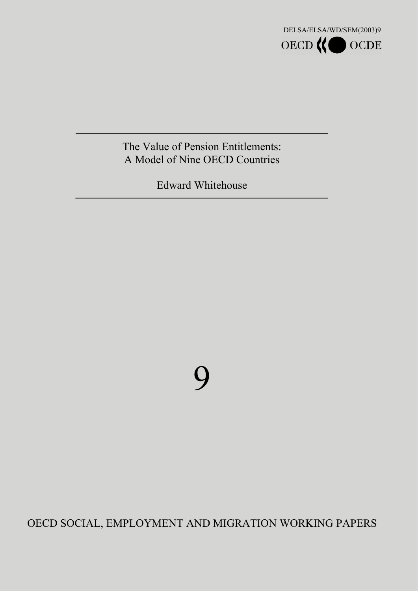

# The Value of Pension Entitlements: A Model of Nine OECD Countries

Edward Whitehouse

9

OECD SOCIAL, EMPLOYMENT AND MIGRATION WORKING PAPERS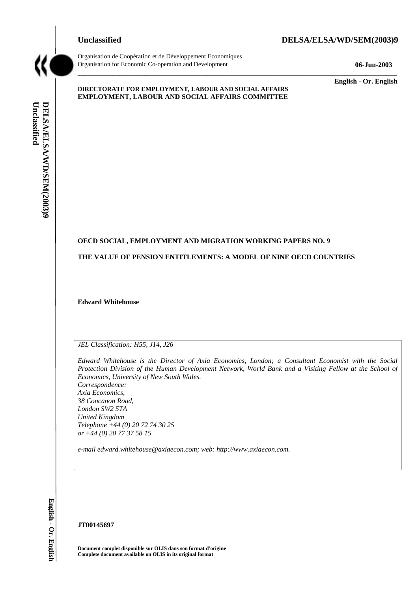

Organisation de Coopération et de Développement Economiques Organisation for Economic Co-operation and Development **06-Jun-2003** 

### **Unclassified DELSA/ELSA/WD/SEM(2003)9**

**English - Or. English** 

#### **DIRECTORATE FOR EMPLOYMENT, LABOUR AND SOCIAL AFFAIRS EMPLOYMENT, LABOUR AND SOCIAL AFFAIRS COMMITTEE**

### **OECD SOCIAL, EMPLOYMENT AND MIGRATION WORKING PAPERS NO. 9**

**THE VALUE OF PENSION ENTITLEMENTS: A MODEL OF NINE OECD COUNTRIES** 

 $\_$  ,  $\_$  ,  $\_$  ,  $\_$  ,  $\_$  ,  $\_$  ,  $\_$  ,  $\_$  ,  $\_$  ,  $\_$  ,  $\_$  ,  $\_$  ,  $\_$  ,  $\_$  ,  $\_$  ,  $\_$  ,  $\_$  ,  $\_$  ,  $\_$  ,  $\_$  ,  $\_$  ,  $\_$  ,  $\_$  ,  $\_$  ,  $\_$  ,  $\_$  ,  $\_$  ,  $\_$  ,  $\_$  ,  $\_$  ,  $\_$  ,  $\_$  ,  $\_$  ,  $\_$  ,  $\_$  ,  $\_$  ,  $\_$  ,

**Edward Whitehouse** 

*JEL Classification: H55, J14, J26* 

*Edward Whitehouse is the Director of Axia Economics, London; a Consultant Economist with the Social Protection Division of the Human Development Network, World Bank and a Visiting Fellow at the School of Economics, University of New South Wales. Correspondence: Axia Economics, 38 Concanon Road, London SW2 5TA United Kingdom Telephone +44 (0) 20 72 74 30 25* 

*or +44 (0) 20 77 37 58 15* 

*e-mail edward.whitehouse@axiaecon.com; web: http://www.axiaecon.com.* 

#### **JT00145697**

**Document complet disponible sur OLIS dans son format d'origine Complete document available on OLIS in its original format**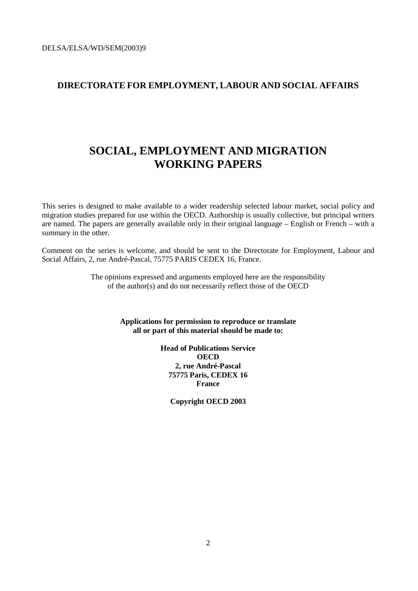### **DIRECTORATE FOR EMPLOYMENT, LABOUR AND SOCIAL AFFAIRS**

# **SOCIAL, EMPLOYMENT AND MIGRATION WORKING PAPERS**

This series is designed to make available to a wider readership selected labour market, social policy and migration studies prepared for use within the OECD. Authorship is usually collective, but principal writers are named. The papers are generally available only in their original language – English or French – with a summary in the other.

Comment on the series is welcome, and should be sent to the Directorate for Employment, Labour and Social Affairs, 2, rue André-Pascal, 75775 PARIS CEDEX 16, France.

> The opinions expressed and arguments employed here are the responsibility of the author(s) and do not necessarily reflect those of the OECD

> > **Applications for permission to reproduce or translate all or part of this material should be made to:**

> > > **Head of Publications Service OECD 2, rue André-Pascal 75775 Paris, CEDEX 16 France**

> > > > **Copyright OECD 2003**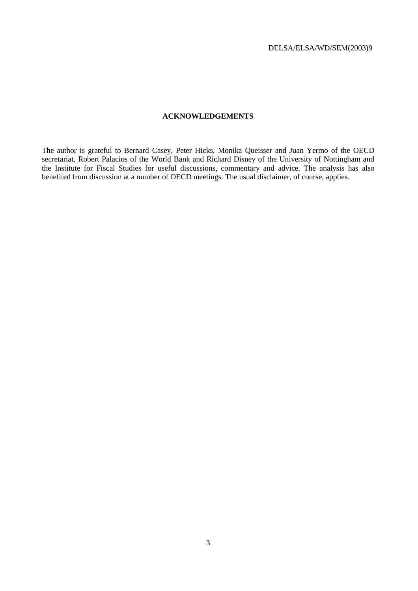### **ACKNOWLEDGEMENTS**

The author is grateful to Bernard Casey, Peter Hicks, Monika Queisser and Juan Yermo of the OECD secretariat, Robert Palacios of the World Bank and Richard Disney of the University of Nottingham and the Institute for Fiscal Studies for useful discussions, commentary and advice. The analysis has also benefited from discussion at a number of OECD meetings. The usual disclaimer, of course, applies.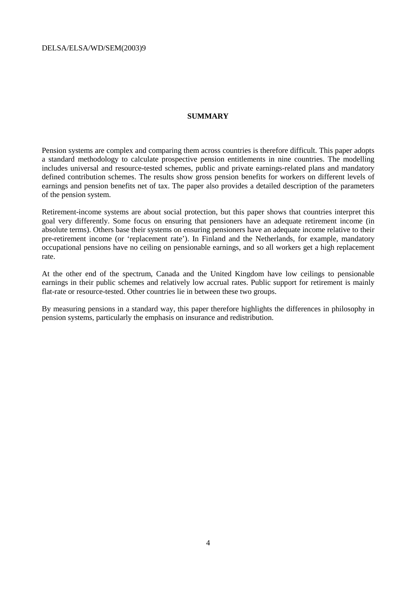### **SUMMARY**

Pension systems are complex and comparing them across countries is therefore difficult. This paper adopts a standard methodology to calculate prospective pension entitlements in nine countries. The modelling includes universal and resource-tested schemes, public and private earnings-related plans and mandatory defined contribution schemes. The results show gross pension benefits for workers on different levels of earnings and pension benefits net of tax. The paper also provides a detailed description of the parameters of the pension system.

Retirement-income systems are about social protection, but this paper shows that countries interpret this goal very differently. Some focus on ensuring that pensioners have an adequate retirement income (in absolute terms). Others base their systems on ensuring pensioners have an adequate income relative to their pre-retirement income (or 'replacement rate'). In Finland and the Netherlands, for example, mandatory occupational pensions have no ceiling on pensionable earnings, and so all workers get a high replacement rate.

At the other end of the spectrum, Canada and the United Kingdom have low ceilings to pensionable earnings in their public schemes and relatively low accrual rates. Public support for retirement is mainly flat-rate or resource-tested. Other countries lie in between these two groups.

By measuring pensions in a standard way, this paper therefore highlights the differences in philosophy in pension systems, particularly the emphasis on insurance and redistribution.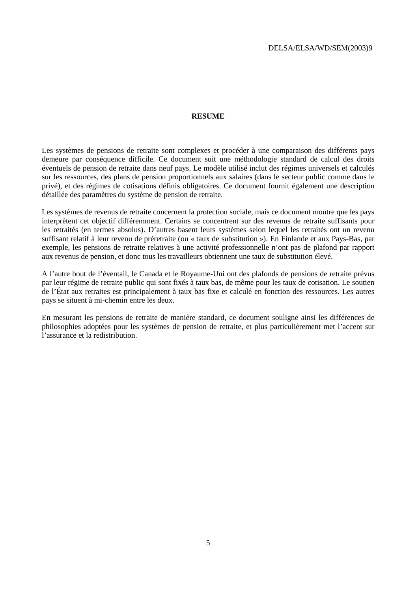#### **RESUME**

Les systèmes de pensions de retraite sont complexes et procéder à une comparaison des différents pays demeure par conséquence difficile. Ce document suit une méthodologie standard de calcul des droits éventuels de pension de retraite dans neuf pays. Le modèle utilisé inclut des régimes universels et calculés sur les ressources, des plans de pension proportionnels aux salaires (dans le secteur public comme dans le privé), et des régimes de cotisations définis obligatoires. Ce document fournit également une description détaillée des paramètres du système de pension de retraite.

Les systèmes de revenus de retraite concernent la protection sociale, mais ce document montre que les pays interprètent cet objectif différemment. Certains se concentrent sur des revenus de retraite suffisants pour les retraités (en termes absolus). D'autres basent leurs systèmes selon lequel les retraités ont un revenu suffisant relatif à leur revenu de préretraite (ou « taux de substitution »). En Finlande et aux Pays-Bas, par exemple, les pensions de retraite relatives à une activité professionnelle n'ont pas de plafond par rapport aux revenus de pension, et donc tous les travailleurs obtiennent une taux de substitution élevé.

A l'autre bout de l'éventail, le Canada et le Royaume-Uni ont des plafonds de pensions de retraite prévus par leur régime de retraite public qui sont fixés à taux bas, de même pour les taux de cotisation. Le soutien de l'État aux retraites est principalement à taux bas fixe et calculé en fonction des ressources. Les autres pays se situent à mi-chemin entre les deux.

En mesurant les pensions de retraite de manière standard, ce document souligne ainsi les différences de philosophies adoptées pour les systèmes de pension de retraite, et plus particulièrement met l'accent sur l'assurance et la redistribution.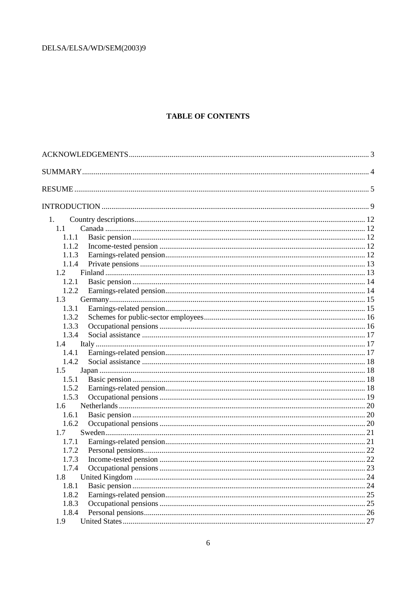### **TABLE OF CONTENTS**

| 1.    |  |
|-------|--|
| 1.1   |  |
| 1.1.1 |  |
| 1.1.2 |  |
| 1.1.3 |  |
| 1.1.4 |  |
| 1.2   |  |
| 1.2.1 |  |
| 1.2.2 |  |
| 1.3   |  |
| 1.3.1 |  |
| 1.3.2 |  |
| 1.3.3 |  |
| 1.3.4 |  |
| 1.4   |  |
| 1.4.1 |  |
| 1.4.2 |  |
| 1.5   |  |
| 1.5.1 |  |
| 1.5.2 |  |
| 1.5.3 |  |
| 1.6   |  |
| 1.6.1 |  |
| 1.6.2 |  |
| 1.7   |  |
| 1.7.1 |  |
| 1.7.2 |  |
| 1.7.3 |  |
| 1.7.4 |  |
| 1.8   |  |
| 1.8.1 |  |
| 1.8.2 |  |
| 1.8.3 |  |
| 1.8.4 |  |
| 1.9   |  |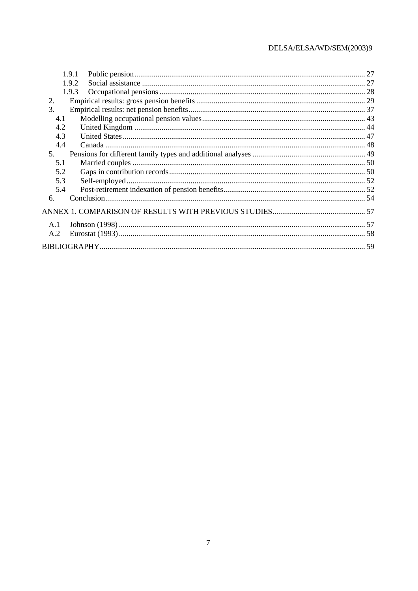|     | 1.9.1 |  |
|-----|-------|--|
|     | 1.9.2 |  |
|     | 1.9.3 |  |
| 2.  |       |  |
| 3.  |       |  |
| 4.1 |       |  |
| 4.2 |       |  |
| 4.3 |       |  |
| 4.4 |       |  |
| 5.  |       |  |
| 5.1 |       |  |
| 5.2 |       |  |
| 5.3 |       |  |
| 5.4 |       |  |
| 6.  |       |  |
|     |       |  |
| A.1 |       |  |
| A.2 |       |  |
|     |       |  |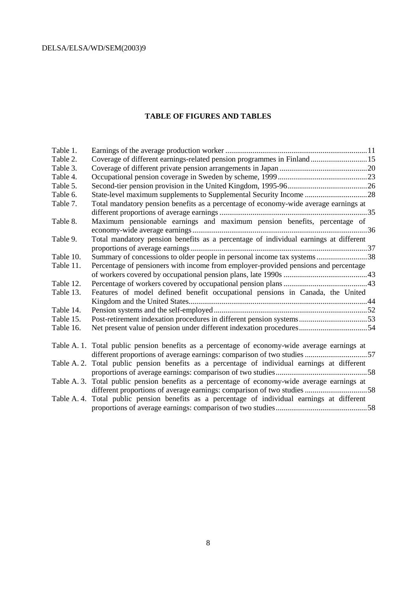### **TABLE OF FIGURES AND TABLES**

| Table 1.    |                                                                                               |
|-------------|-----------------------------------------------------------------------------------------------|
| Table 2.    | Coverage of different earnings-related pension programmes in Finland15                        |
| Table 3.    |                                                                                               |
| Table 4.    |                                                                                               |
| Table 5.    |                                                                                               |
| Table 6.    | State-level maximum supplements to Supplemental Security Income 28                            |
| Table 7.    | Total mandatory pension benefits as a percentage of economy-wide average earnings at          |
|             |                                                                                               |
| Table 8.    | Maximum pensionable earnings and maximum pension benefits, percentage of                      |
|             |                                                                                               |
| Table 9.    | Total mandatory pension benefits as a percentage of individual earnings at different          |
|             |                                                                                               |
| Table 10.   | Summary of concessions to older people in personal income tax systems38                       |
| Table 11.   | Percentage of pensioners with income from employer-provided pensions and percentage           |
|             |                                                                                               |
| Table 12.   |                                                                                               |
| Table 13.   | Features of model defined benefit occupational pensions in Canada, the United                 |
|             |                                                                                               |
| Table 14.   |                                                                                               |
| Table 15.   | Post-retirement indexation procedures in different pension systems53                          |
| Table 16.   | Net present value of pension under different indexation procedures54                          |
|             |                                                                                               |
|             | Table A. 1. Total public pension benefits as a percentage of economy-wide average earnings at |
|             | different proportions of average earnings: comparison of two studies 57                       |
|             | Table A. 2. Total public pension benefits as a percentage of individual earnings at different |
|             |                                                                                               |
|             | Table A. 3. Total public pension benefits as a percentage of economy-wide average earnings at |
|             | different proportions of average earnings: comparison of two studies 58                       |
| Table A. 4. | Total public pension benefits as a percentage of individual earnings at different             |
|             |                                                                                               |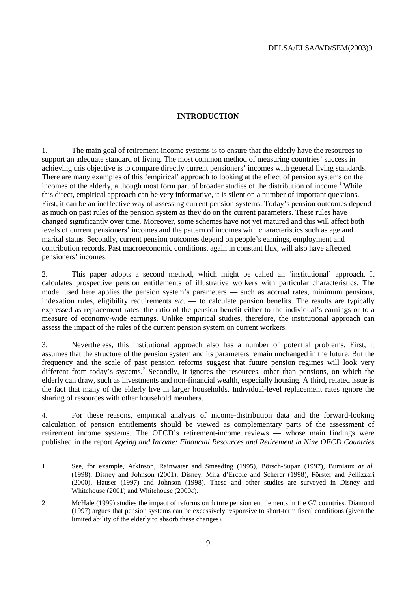### **INTRODUCTION**

1. The main goal of retirement-income systems is to ensure that the elderly have the resources to support an adequate standard of living. The most common method of measuring countries' success in achieving this objective is to compare directly current pensioners' incomes with general living standards. There are many examples of this 'empirical' approach to looking at the effect of pension systems on the incomes of the elderly, although most form part of broader studies of the distribution of income.<sup>1</sup> While this direct, empirical approach can be very informative, it is silent on a number of important questions. First, it can be an ineffective way of assessing current pension systems. Today's pension outcomes depend as much on past rules of the pension system as they do on the current parameters. These rules have changed significantly over time. Moreover, some schemes have not yet matured and this will affect both levels of current pensioners' incomes and the pattern of incomes with characteristics such as age and marital status. Secondly, current pension outcomes depend on people's earnings, employment and contribution records. Past macroeconomic conditions, again in constant flux, will also have affected pensioners' incomes.

2. This paper adopts a second method, which might be called an 'institutional' approach. It calculates prospective pension entitlements of illustrative workers with particular characteristics. The model used here applies the pension system's parameters — such as accrual rates, minimum pensions, indexation rules, eligibility requirements *etc.* — to calculate pension benefits. The results are typically expressed as replacement rates: the ratio of the pension benefit either to the individual's earnings or to a measure of economy-wide earnings. Unlike empirical studies, therefore, the institutional approach can assess the impact of the rules of the current pension system on current workers.

3. Nevertheless, this institutional approach also has a number of potential problems. First, it assumes that the structure of the pension system and its parameters remain unchanged in the future. But the frequency and the scale of past pension reforms suggest that future pension regimes will look very different from today's systems.<sup>2</sup> Secondly, it ignores the resources, other than pensions, on which the elderly can draw, such as investments and non-financial wealth, especially housing. A third, related issue is the fact that many of the elderly live in larger households. Individual-level replacement rates ignore the sharing of resources with other household members.

4. For these reasons, empirical analysis of income-distribution data and the forward-looking calculation of pension entitlements should be viewed as complementary parts of the assessment of retirement income systems. The OECD's retirement-income reviews — whose main findings were published in the report *Ageing and Income: Financial Resources and Retirement in Nine OECD Countries*

 $\overline{a}$ 1 See, for example, Atkinson, Rainwater and Smeeding (1995), Börsch-Supan (1997), Burniaux *at al.*  (1998), Disney and Johnson (2001), Disney, Mira d'Ercole and Scherer (1998), Förster and Pellizzari (2000), Hauser (1997) and Johnson (1998). These and other studies are surveyed in Disney and Whitehouse (2001) and Whitehouse (2000*c*).

<sup>2</sup> McHale (1999) studies the impact of reforms on future pension entitlements in the G7 countries. Diamond (1997) argues that pension systems can be excessively responsive to short-term fiscal conditions (given the limited ability of the elderly to absorb these changes).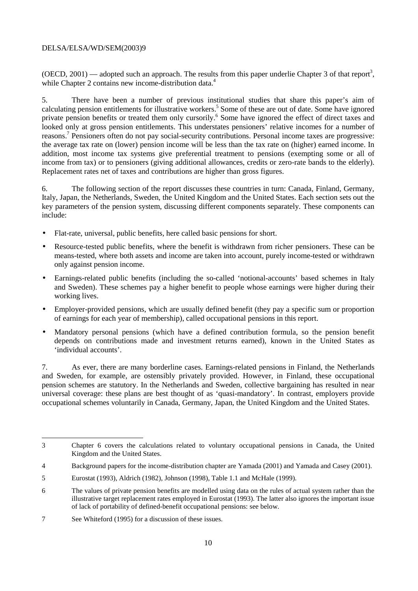(OECD, 2001) — adopted such an approach. The results from this paper underlie Chapter 3 of that report<sup>3</sup>, while Chapter 2 contains new income-distribution data.<sup>4</sup>

5. There have been a number of previous institutional studies that share this paper's aim of calculating pension entitlements for illustrative workers.<sup>5</sup> Some of these are out of date. Some have ignored private pension benefits or treated them only cursorily.<sup>6</sup> Some have ignored the effect of direct taxes and looked only at gross pension entitlements. This understates pensioners' relative incomes for a number of reasons.<sup>7</sup> Pensioners often do not pay social-security contributions. Personal income taxes are progressive: the average tax rate on (lower) pension income will be less than the tax rate on (higher) earned income. In addition, most income tax systems give preferential treatment to pensions (exempting some or all of income from tax) or to pensioners (giving additional allowances, credits or zero-rate bands to the elderly). Replacement rates net of taxes and contributions are higher than gross figures.

6. The following section of the report discusses these countries in turn: Canada, Finland, Germany, Italy, Japan, the Netherlands, Sweden, the United Kingdom and the United States. Each section sets out the key parameters of the pension system, discussing different components separately. These components can include:

- Flat-rate, universal, public benefits, here called basic pensions for short.
- Resource-tested public benefits, where the benefit is withdrawn from richer pensioners. These can be means-tested, where both assets and income are taken into account, purely income-tested or withdrawn only against pension income.
- Earnings-related public benefits (including the so-called 'notional-accounts' based schemes in Italy and Sweden). These schemes pay a higher benefit to people whose earnings were higher during their working lives.
- Employer-provided pensions, which are usually defined benefit (they pay a specific sum or proportion of earnings for each year of membership), called occupational pensions in this report.
- Mandatory personal pensions (which have a defined contribution formula, so the pension benefit depends on contributions made and investment returns earned), known in the United States as 'individual accounts'.

7. As ever, there are many borderline cases. Earnings-related pensions in Finland, the Netherlands and Sweden, for example, are ostensibly privately provided. However, in Finland, these occupational pension schemes are statutory. In the Netherlands and Sweden, collective bargaining has resulted in near universal coverage: these plans are best thought of as 'quasi-mandatory'. In contrast, employers provide occupational schemes voluntarily in Canada, Germany, Japan, the United Kingdom and the United States.

 $\overline{a}$ 

<sup>3</sup> Chapter 6 covers the calculations related to voluntary occupational pensions in Canada, the United Kingdom and the United States.

<sup>4</sup> Background papers for the income-distribution chapter are Yamada (2001) and Yamada and Casey (2001).

<sup>5</sup> Eurostat (1993), Aldrich (1982), Johnson (1998), Table 1.1 and McHale (1999).

<sup>6</sup> The values of private pension benefits are modelled using data on the rules of actual system rather than the illustrative target replacement rates employed in Eurostat (1993). The latter also ignores the important issue of lack of portability of defined-benefit occupational pensions: see below.

<sup>7</sup> See Whiteford (1995) for a discussion of these issues.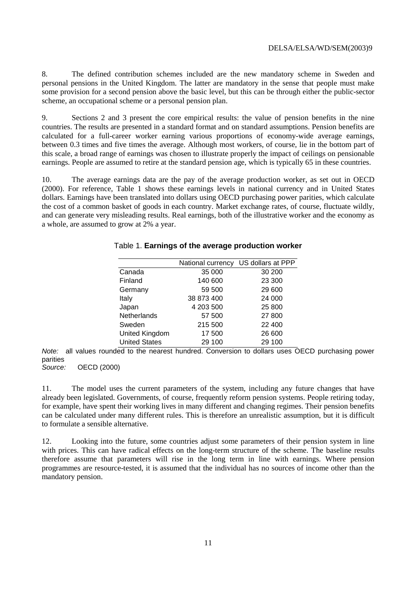8. The defined contribution schemes included are the new mandatory scheme in Sweden and personal pensions in the United Kingdom. The latter are mandatory in the sense that people must make some provision for a second pension above the basic level, but this can be through either the public-sector scheme, an occupational scheme or a personal pension plan.

9. Sections 2 and 3 present the core empirical results: the value of pension benefits in the nine countries. The results are presented in a standard format and on standard assumptions. Pension benefits are calculated for a full-career worker earning various proportions of economy-wide average earnings, between 0.3 times and five times the average. Although most workers, of course, lie in the bottom part of this scale, a broad range of earnings was chosen to illustrate properly the impact of ceilings on pensionable earnings. People are assumed to retire at the standard pension age, which is typically 65 in these countries.

10. The average earnings data are the pay of the average production worker, as set out in OECD (2000). For reference, Table 1 shows these earnings levels in national currency and in United States dollars. Earnings have been translated into dollars using OECD purchasing power parities, which calculate the cost of a common basket of goods in each country. Market exchange rates, of course, fluctuate wildly, and can generate very misleading results. Real earnings, both of the illustrative worker and the economy as a whole, are assumed to grow at 2% a year.

| National currency | US dollars at PPP |
|-------------------|-------------------|
| 35 000            | 30 200            |
| 140 600           | 23 300            |
| 59 500            | 29 600            |
| 38 873 400        | 24 000            |
| 4 203 500         | 25 800            |
| 57 500            | 27 800            |
| 215 500           | 22 400            |
| 17 500            | 26 600            |
| 29 100            | 29 100            |
|                   |                   |

### Table 1. **Earnings of the average production worker**

Note: all values rounded to the nearest hundred. Conversion to dollars uses OECD purchasing power parities<br>Source:

OECD (2000)

11. The model uses the current parameters of the system, including any future changes that have already been legislated. Governments, of course, frequently reform pension systems. People retiring today, for example, have spent their working lives in many different and changing regimes. Their pension benefits can be calculated under many different rules. This is therefore an unrealistic assumption, but it is difficult to formulate a sensible alternative.

12. Looking into the future, some countries adjust some parameters of their pension system in line with prices. This can have radical effects on the long-term structure of the scheme. The baseline results therefore assume that parameters will rise in the long term in line with earnings. Where pension programmes are resource-tested, it is assumed that the individual has no sources of income other than the mandatory pension.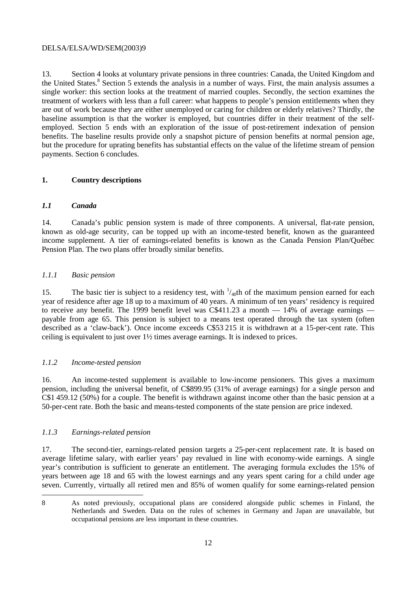13. Section 4 looks at voluntary private pensions in three countries: Canada, the United Kingdom and the United States.<sup>8</sup> Section 5 extends the analysis in a number of ways. First, the main analysis assumes a single worker: this section looks at the treatment of married couples. Secondly, the section examines the treatment of workers with less than a full career: what happens to people's pension entitlements when they are out of work because they are either unemployed or caring for children or elderly relatives? Thirdly, the baseline assumption is that the worker is employed, but countries differ in their treatment of the selfemployed. Section 5 ends with an exploration of the issue of post-retirement indexation of pension benefits. The baseline results provide only a snapshot picture of pension benefits at normal pension age, but the procedure for uprating benefits has substantial effects on the value of the lifetime stream of pension payments. Section 6 concludes.

### **1. Country descriptions**

### *1.1 Canada*

14. Canada's public pension system is made of three components. A universal, flat-rate pension, known as old-age security, can be topped up with an income-tested benefit, known as the guaranteed income supplement. A tier of earnings-related benefits is known as the Canada Pension Plan/Québec Pension Plan. The two plans offer broadly similar benefits.

### *1.1.1 Basic pension*

15. The basic tier is subject to a residency test, with  $\frac{1}{40}$ th of the maximum pension earned for each year of residence after age 18 up to a maximum of 40 years. A minimum of ten years' residency is required to receive any benefit. The 1999 benefit level was  $C\$ 411.23 a month  $-$  14% of average earnings  $$ payable from age 65. This pension is subject to a means test operated through the tax system (often described as a 'claw-back'). Once income exceeds C\$53 215 it is withdrawn at a 15-per-cent rate. This ceiling is equivalent to just over 1½ times average earnings. It is indexed to prices.

### *1.1.2 Income-tested pension*

16. An income-tested supplement is available to low-income pensioners. This gives a maximum pension, including the universal benefit, of C\$899.95 (31% of average earnings) for a single person and C\$1 459.12 (50%) for a couple. The benefit is withdrawn against income other than the basic pension at a 50-per-cent rate. Both the basic and means-tested components of the state pension are price indexed.

### *1.1.3 Earnings-related pension*

17. The second-tier, earnings-related pension targets a 25-per-cent replacement rate. It is based on average lifetime salary, with earlier years' pay revalued in line with economy-wide earnings. A single year's contribution is sufficient to generate an entitlement. The averaging formula excludes the 15% of years between age 18 and 65 with the lowest earnings and any years spent caring for a child under age seven. Currently, virtually all retired men and 85% of women qualify for some earnings-related pension

 $\overline{a}$ 

<sup>8</sup> As noted previously, occupational plans are considered alongside public schemes in Finland, the Netherlands and Sweden. Data on the rules of schemes in Germany and Japan are unavailable, but occupational pensions are less important in these countries.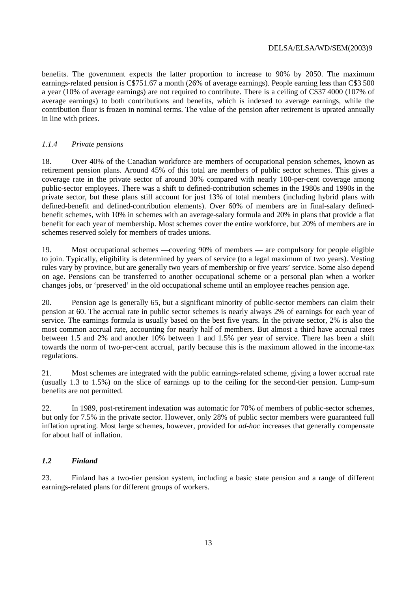benefits. The government expects the latter proportion to increase to 90% by 2050. The maximum earnings-related pension is C\$751.67 a month (26% of average earnings). People earning less than C\$3 500 a year (10% of average earnings) are not required to contribute. There is a ceiling of C\$37 4000 (107% of average earnings) to both contributions and benefits, which is indexed to average earnings, while the contribution floor is frozen in nominal terms. The value of the pension after retirement is uprated annually in line with prices.

### *1.1.4 Private pensions*

18. Over 40% of the Canadian workforce are members of occupational pension schemes, known as retirement pension plans. Around 45% of this total are members of public sector schemes. This gives a coverage rate in the private sector of around 30% compared with nearly 100-per-cent coverage among public-sector employees. There was a shift to defined-contribution schemes in the 1980s and 1990s in the private sector, but these plans still account for just 13% of total members (including hybrid plans with defined-benefit and defined-contribution elements). Over 60% of members are in final-salary definedbenefit schemes, with 10% in schemes with an average-salary formula and 20% in plans that provide a flat benefit for each year of membership. Most schemes cover the entire workforce, but 20% of members are in schemes reserved solely for members of trades unions.

19. Most occupational schemes —covering 90% of members — are compulsory for people eligible to join. Typically, eligibility is determined by years of service (to a legal maximum of two years). Vesting rules vary by province, but are generally two years of membership or five years' service. Some also depend on age. Pensions can be transferred to another occupational scheme or a personal plan when a worker changes jobs, or 'preserved' in the old occupational scheme until an employee reaches pension age.

20. Pension age is generally 65, but a significant minority of public-sector members can claim their pension at 60. The accrual rate in public sector schemes is nearly always 2% of earnings for each year of service. The earnings formula is usually based on the best five years. In the private sector, 2% is also the most common accrual rate, accounting for nearly half of members. But almost a third have accrual rates between 1.5 and 2% and another 10% between 1 and 1.5% per year of service. There has been a shift towards the norm of two-per-cent accrual, partly because this is the maximum allowed in the income-tax regulations.

21. Most schemes are integrated with the public earnings-related scheme, giving a lower accrual rate (usually 1.3 to 1.5%) on the slice of earnings up to the ceiling for the second-tier pension. Lump-sum benefits are not permitted.

22. In 1989, post-retirement indexation was automatic for 70% of members of public-sector schemes, but only for 7.5% in the private sector. However, only 28% of public sector members were guaranteed full inflation uprating. Most large schemes, however, provided for *ad-hoc* increases that generally compensate for about half of inflation.

### *1.2 Finland*

23. Finland has a two-tier pension system, including a basic state pension and a range of different earnings-related plans for different groups of workers.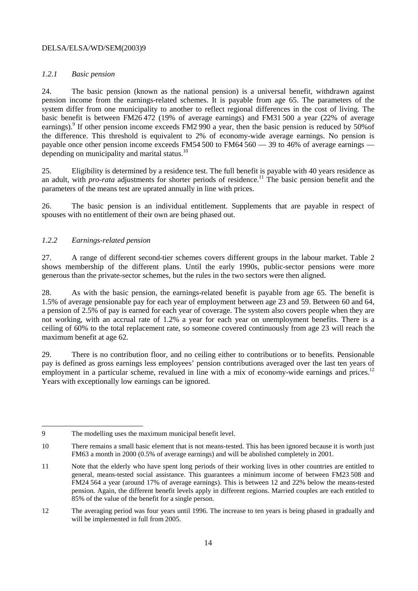### *1.2.1 Basic pension*

24. The basic pension (known as the national pension) is a universal benefit, withdrawn against pension income from the earnings-related schemes. It is payable from age 65. The parameters of the system differ from one municipality to another to reflect regional differences in the cost of living. The basic benefit is between FM26 472 (19% of average earnings) and FM31 500 a year (22% of average earnings).<sup>9</sup> If other pension income exceeds FM2 990 a year, then the basic pension is reduced by 50% of the difference. This threshold is equivalent to 2% of economy-wide average earnings. No pension is payable once other pension income exceeds FM54 500 to FM64 560 — 39 to 46% of average earnings depending on municipality and marital status.<sup>10</sup>

25. Eligibility is determined by a residence test. The full benefit is payable with 40 years residence as an adult, with *pro-rata* adjustments for shorter periods of residence.<sup>11</sup> The basic pension benefit and the parameters of the means test are uprated annually in line with prices.

26. The basic pension is an individual entitlement. Supplements that are payable in respect of spouses with no entitlement of their own are being phased out.

### *1.2.2 Earnings-related pension*

27. A range of different second-tier schemes covers different groups in the labour market. Table 2 shows membership of the different plans. Until the early 1990s, public-sector pensions were more generous than the private-sector schemes, but the rules in the two sectors were then aligned.

28. As with the basic pension, the earnings-related benefit is payable from age 65. The benefit is 1.5% of average pensionable pay for each year of employment between age 23 and 59. Between 60 and 64, a pension of 2.5% of pay is earned for each year of coverage. The system also covers people when they are not working, with an accrual rate of 1.2% a year for each year on unemployment benefits. There is a ceiling of 60% to the total replacement rate, so someone covered continuously from age 23 will reach the maximum benefit at age 62.

29. There is no contribution floor, and no ceiling either to contributions or to benefits. Pensionable pay is defined as gross earnings less employees' pension contributions averaged over the last ten years of employment in a particular scheme, revalued in line with a mix of economy-wide earnings and prices.<sup>12</sup> Years with exceptionally low earnings can be ignored.

 $\overline{a}$ 9 The modelling uses the maximum municipal benefit level.

<sup>10</sup> There remains a small basic element that is not means-tested. This has been ignored because it is worth just FM63 a month in 2000 (0.5% of average earnings) and will be abolished completely in 2001.

<sup>11</sup> Note that the elderly who have spent long periods of their working lives in other countries are entitled to general, means-tested social assistance. This guarantees a minimum income of between FM23 508 and FM24 564 a year (around 17% of average earnings). This is between 12 and 22% below the means-tested pension. Again, the different benefit levels apply in different regions. Married couples are each entitled to 85% of the value of the benefit for a single person.

<sup>12</sup> The averaging period was four years until 1996. The increase to ten years is being phased in gradually and will be implemented in full from 2005.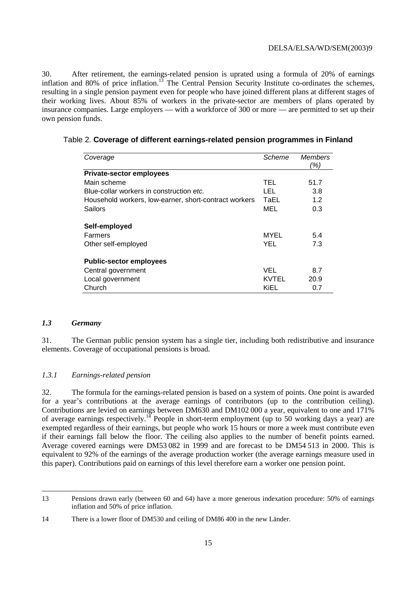30. After retirement, the earnings-related pension is uprated using a formula of 20% of earnings inflation and 80% of price inflation.<sup>13</sup> The Central Pension Security Institute co-ordinates the schemes, resulting in a single pension payment even for people who have joined different plans at different stages of their working lives. About 85% of workers in the private-sector are members of plans operated by insurance companies. Large employers — with a workforce of 300 or more — are permitted to set up their own pension funds.

| Coverage                                              | Scheme | <b>Members</b><br>(%) |
|-------------------------------------------------------|--------|-----------------------|
| <b>Private-sector employees</b>                       |        |                       |
| Main scheme                                           | TEL    | 51.7                  |
| Blue-collar workers in construction etc.              | LEL    | 3.8                   |
| Household workers, low-earner, short-contract workers | TaEL   | 1.2                   |
| Sailors                                               | MEL    | 0.3                   |
| Self-employed                                         |        |                       |
| Farmers                                               | MYEL   | 5.4                   |
| Other self-employed                                   | YEL    | 7.3                   |
| <b>Public-sector employees</b>                        |        |                       |
| Central government                                    | VEL    | 8.7                   |
| Local government                                      | KVTEL  | 20.9                  |
| Church                                                | KiEL   | 0.7                   |

Table 2. **Coverage of different earnings-related pension programmes in Finland** 

#### *1.3 Germany*

 $\overline{a}$ 

31. The German public pension system has a single tier, including both redistributive and insurance elements. Coverage of occupational pensions is broad.

### *1.3.1 Earnings-related pension*

32. The formula for the earnings-related pension is based on a system of points. One point is awarded for a year's contributions at the average earnings of contributors (up to the contribution ceiling). Contributions are levied on earnings between DM630 and DM102 000 a year, equivalent to one and 171% of average earnings respectively.<sup>14</sup> People in short-term employment (up to 50 working days a year) are exempted regardless of their earnings, but people who work 15 hours or more a week must contribute even if their earnings fall below the floor. The ceiling also applies to the number of benefit points earned. Average covered earnings were DM53 082 in 1999 and are forecast to be DM54 513 in 2000. This is equivalent to 92% of the earnings of the average production worker (the average earnings measure used in this paper). Contributions paid on earnings of this level therefore earn a worker one pension point.

<sup>13</sup> Pensions drawn early (between 60 and 64) have a more generous indexation procedure: 50% of earnings inflation and 50% of price inflation.

<sup>14</sup> There is a lower floor of DM530 and ceiling of DM86 400 in the new Länder.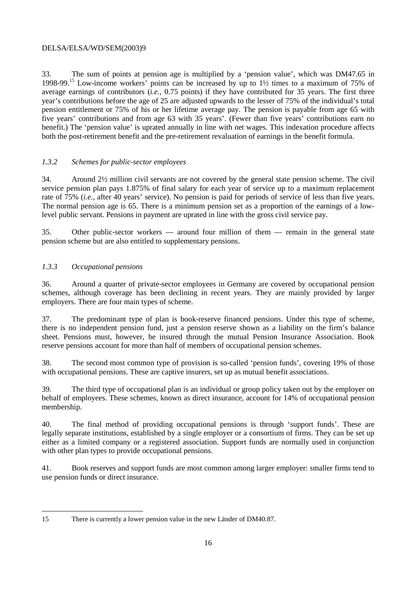33. The sum of points at pension age is multiplied by a 'pension value', which was DM47.65 in 1998-99.15 Low-income workers' points can be increased by up to 1½ times to a maximum of 75% of average earnings of contributors (*i.e.*, 0.75 points) if they have contributed for 35 years. The first three year's contributions before the age of 25 are adjusted upwards to the lesser of 75% of the individual's total pension entitlement or 75% of his or her lifetime average pay. The pension is payable from age 65 with five years' contributions and from age 63 with 35 years'. (Fewer than five years' contributions earn no benefit.) The 'pension value' is uprated annually in line with net wages. This indexation procedure affects both the post-retirement benefit and the pre-retirement revaluation of earnings in the benefit formula.

### *1.3.2 Schemes for public-sector employees*

34. Around 2½ million civil servants are not covered by the general state pension scheme. The civil service pension plan pays 1.875% of final salary for each year of service up to a maximum replacement rate of 75% (*i.e.*, after 40 years' service). No pension is paid for periods of service of less than five years. The normal pension age is 65. There is a minimum pension set as a proportion of the earnings of a lowlevel public servant. Pensions in payment are uprated in line with the gross civil service pay.

35. Other public-sector workers — around four million of them — remain in the general state pension scheme but are also entitled to supplementary pensions.

### *1.3.3 Occupational pensions*

 $\overline{a}$ 

36. Around a quarter of private-sector employees in Germany are covered by occupational pension schemes, although coverage has been declining in recent years. They are mainly provided by larger employers. There are four main types of scheme.

37. The predominant type of plan is book-reserve financed pensions. Under this type of scheme, there is no independent pension fund, just a pension reserve shown as a liability on the firm's balance sheet. Pensions must, however, be insured through the mutual Pension Insurance Association. Book reserve pensions account for more than half of members of occupational pension schemes.

38. The second most common type of provision is so-called 'pension funds', covering 19% of those with occupational pensions. These are captive insurers, set up as mutual benefit associations.

39. The third type of occupational plan is an individual or group policy taken out by the employer on behalf of employees. These schemes, known as direct insurance, account for 14% of occupational pension membership.

40. The final method of providing occupational pensions is through 'support funds'. These are legally separate institutions, established by a single employer or a consortium of firms. They can be set up either as a limited company or a registered association. Support funds are normally used in conjunction with other plan types to provide occupational pensions.

41. Book reserves and support funds are most common among larger employer: smaller firms tend to use pension funds or direct insurance.

<sup>15</sup> There is currently a lower pension value in the new Länder of DM40.87.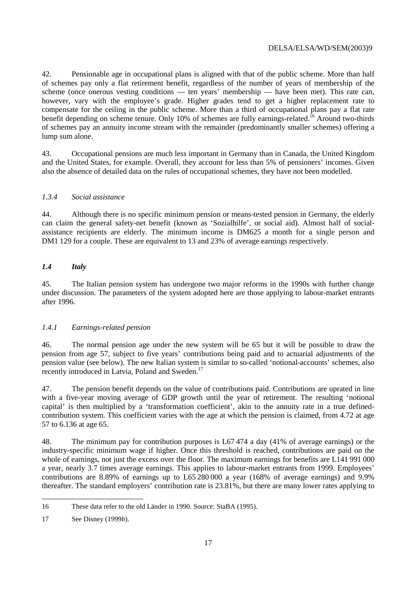42. Pensionable age in occupational plans is aligned with that of the public scheme. More than half of schemes pay only a flat retirement benefit, regardless of the number of years of membership of the scheme (once onerous vesting conditions — ten years' membership — have been met). This rate can, however, vary with the employee's grade. Higher grades tend to get a higher replacement rate to compensate for the ceiling in the public scheme. More than a third of occupational plans pay a flat rate benefit depending on scheme tenure. Only 10% of schemes are fully earnings-related.<sup>16</sup> Around two-thirds of schemes pay an annuity income stream with the remainder (predominantly smaller schemes) offering a lump sum alone.

43. Occupational pensions are much less important in Germany than in Canada, the United Kingdom and the United States, for example. Overall, they account for less than 5% of pensioners' incomes. Given also the absence of detailed data on the rules of occupational schemes, they have not been modelled.

### *1.3.4 Social assistance*

44. Although there is no specific minimum pension or means-tested pension in Germany, the elderly can claim the general safety-net benefit (known as 'Sozialhilfe', or social aid). Almost half of socialassistance recipients are elderly. The minimum income is DM625 a month for a single person and DM1 129 for a couple. These are equivalent to 13 and 23% of average earnings respectively.

### *1.4 Italy*

45. The Italian pension system has undergone two major reforms in the 1990s with further change under discussion. The parameters of the system adopted here are those applying to labour-market entrants after 1996.

### *1.4.1 Earnings-related pension*

46. The normal pension age under the new system will be 65 but it will be possible to draw the pension from age 57, subject to five years' contributions being paid and to actuarial adjustments of the pension value (see below). The new Italian system is similar to so-called 'notional-accounts' schemes, also recently introduced in Latvia, Poland and Sweden.<sup>17</sup>

47. The pension benefit depends on the value of contributions paid. Contributions are uprated in line with a five-year moving average of GDP growth until the year of retirement. The resulting 'notional capital' is then multiplied by a 'transformation coefficient', akin to the annuity rate in a true definedcontribution system. This coefficient varies with the age at which the pension is claimed, from 4.72 at age 57 to 6.136 at age 65.

48. The minimum pay for contribution purposes is L67 474 a day (41% of average earnings) or the industry-specific minimum wage if higher. Once this threshold is reached, contributions are paid on the whole of earnings, not just the excess over the floor. The maximum earnings for benefits are L141 991 000 a year, nearly 3.7 times average earnings. This applies to labour-market entrants from 1999. Employees' contributions are 8.89% of earnings up to L65 280 000 a year (168% of average earnings) and 9.9% thereafter. The standard employers' contribution rate is 23.81%, but there are many lower rates applying to

 16 These data refer to the old Länder in 1990. Source: StaBA (1995).

<sup>17</sup> See Disney (1999*b*).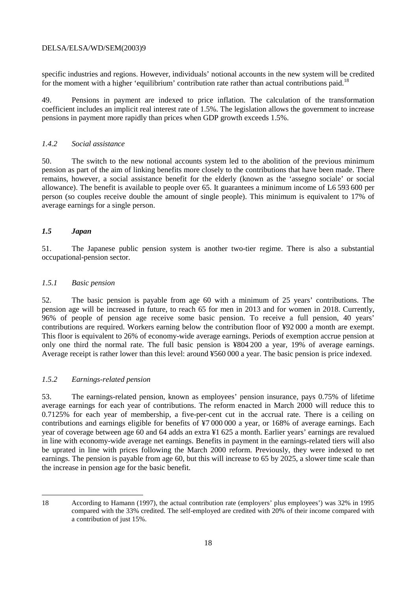specific industries and regions. However, individuals' notional accounts in the new system will be credited for the moment with a higher 'equilibrium' contribution rate rather than actual contributions paid.<sup>18</sup>

49. Pensions in payment are indexed to price inflation. The calculation of the transformation coefficient includes an implicit real interest rate of 1.5%. The legislation allows the government to increase pensions in payment more rapidly than prices when GDP growth exceeds 1.5%.

### *1.4.2 Social assistance*

50. The switch to the new notional accounts system led to the abolition of the previous minimum pension as part of the aim of linking benefits more closely to the contributions that have been made. There remains, however, a social assistance benefit for the elderly (known as the 'assegno sociale' or social allowance). The benefit is available to people over 65. It guarantees a minimum income of L6 593 600 per person (so couples receive double the amount of single people). This minimum is equivalent to 17% of average earnings for a single person.

### *1.5 Japan*

51. The Japanese public pension system is another two-tier regime. There is also a substantial occupational-pension sector.

### *1.5.1 Basic pension*

52. The basic pension is payable from age 60 with a minimum of 25 years' contributions. The pension age will be increased in future, to reach 65 for men in 2013 and for women in 2018. Currently, 96% of people of pension age receive some basic pension. To receive a full pension, 40 years' contributions are required. Workers earning below the contribution floor of ¥92 000 a month are exempt. This floor is equivalent to 26% of economy-wide average earnings. Periods of exemption accrue pension at only one third the normal rate. The full basic pension is ¥804 200 a year, 19% of average earnings. Average receipt is rather lower than this level: around ¥560 000 a year. The basic pension is price indexed.

### *1.5.2 Earnings-related pension*

53. The earnings-related pension, known as employees' pension insurance, pays 0.75% of lifetime average earnings for each year of contributions. The reform enacted in March 2000 will reduce this to 0.7125% for each year of membership, a five-per-cent cut in the accrual rate. There is a ceiling on contributions and earnings eligible for benefits of ¥7 000 000 a year, or 168% of average earnings. Each year of coverage between age 60 and 64 adds an extra ¥1 625 a month. Earlier years' earnings are revalued in line with economy-wide average net earnings. Benefits in payment in the earnings-related tiers will also be uprated in line with prices following the March 2000 reform. Previously, they were indexed to net earnings. The pension is payable from age 60, but this will increase to 65 by 2025, a slower time scale than the increase in pension age for the basic benefit.

 $\overline{a}$ 

<sup>18</sup> According to Hamann (1997), the actual contribution rate (employers' plus employees') was 32% in 1995 compared with the 33% credited. The self-employed are credited with 20% of their income compared with a contribution of just 15%.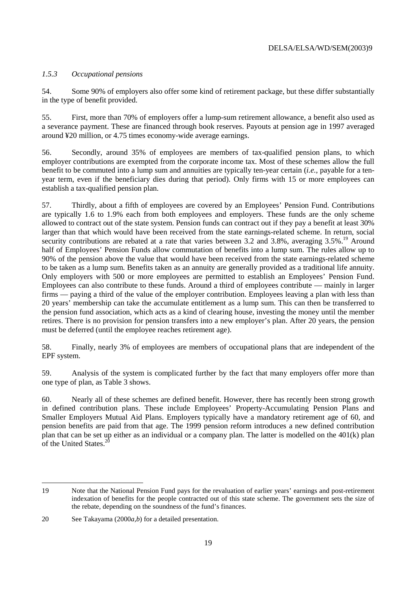### *1.5.3 Occupational pensions*

54. Some 90% of employers also offer some kind of retirement package, but these differ substantially in the type of benefit provided.

55. First, more than 70% of employers offer a lump-sum retirement allowance, a benefit also used as a severance payment. These are financed through book reserves. Payouts at pension age in 1997 averaged around ¥20 million, or 4.75 times economy-wide average earnings.

56. Secondly, around 35% of employees are members of tax-qualified pension plans, to which employer contributions are exempted from the corporate income tax. Most of these schemes allow the full benefit to be commuted into a lump sum and annuities are typically ten-year certain (*i.e.*, payable for a tenyear term, even if the beneficiary dies during that period). Only firms with 15 or more employees can establish a tax-qualified pension plan.

57. Thirdly, about a fifth of employees are covered by an Employees' Pension Fund. Contributions are typically 1.6 to 1.9% each from both employees and employers. These funds are the only scheme allowed to contract out of the state system. Pension funds can contract out if they pay a benefit at least 30% larger than that which would have been received from the state earnings-related scheme. In return, social security contributions are rebated at a rate that varies between 3.2 and 3.8%, averaging 3.5%.<sup>19</sup> Around half of Employees' Pension Funds allow commutation of benefits into a lump sum. The rules allow up to 90% of the pension above the value that would have been received from the state earnings-related scheme to be taken as a lump sum. Benefits taken as an annuity are generally provided as a traditional life annuity. Only employers with 500 or more employees are permitted to establish an Employees' Pension Fund. Employees can also contribute to these funds. Around a third of employees contribute — mainly in larger firms — paying a third of the value of the employer contribution. Employees leaving a plan with less than 20 years' membership can take the accumulate entitlement as a lump sum. This can then be transferred to the pension fund association, which acts as a kind of clearing house, investing the money until the member retires. There is no provision for pension transfers into a new employer's plan. After 20 years, the pension must be deferred (until the employee reaches retirement age).

58. Finally, nearly 3% of employees are members of occupational plans that are independent of the EPF system.

59. Analysis of the system is complicated further by the fact that many employers offer more than one type of plan, as Table 3 shows.

60. Nearly all of these schemes are defined benefit. However, there has recently been strong growth in defined contribution plans. These include Employees' Property-Accumulating Pension Plans and Smaller Employers Mutual Aid Plans. Employers typically have a mandatory retirement age of 60, and pension benefits are paid from that age. The 1999 pension reform introduces a new defined contribution plan that can be set up either as an individual or a company plan. The latter is modelled on the 401(k) plan of the United States. $^{20}$ 

 $\overline{a}$ 

<sup>19</sup> Note that the National Pension Fund pays for the revaluation of earlier years' earnings and post-retirement indexation of benefits for the people contracted out of this state scheme. The government sets the size of the rebate, depending on the soundness of the fund's finances.

<sup>20</sup> See Takayama (2000*a*,*b*) for a detailed presentation.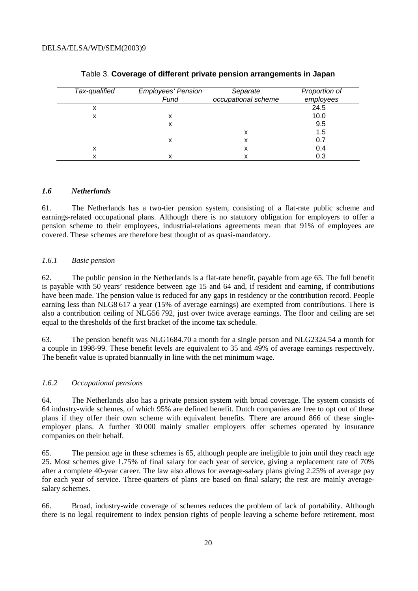| Tax-qualified | <b>Employees' Pension</b> | Separate            | Proportion of |
|---------------|---------------------------|---------------------|---------------|
|               | Fund                      | occupational scheme | employees     |
| x             |                           |                     | 24.5          |
| х             | х                         |                     | 10.0          |
|               | х                         |                     | 9.5           |
|               |                           | x                   | 1.5           |
|               | х                         |                     | 0.7           |
| х             |                           | x                   | 0.4           |
|               | х                         |                     | 0.3           |

#### Table 3. **Coverage of different private pension arrangements in Japan**

#### *1.6 Netherlands*

61. The Netherlands has a two-tier pension system, consisting of a flat-rate public scheme and earnings-related occupational plans. Although there is no statutory obligation for employers to offer a pension scheme to their employees, industrial-relations agreements mean that 91% of employees are covered. These schemes are therefore best thought of as quasi-mandatory.

#### *1.6.1 Basic pension*

62. The public pension in the Netherlands is a flat-rate benefit, payable from age 65. The full benefit is payable with 50 years' residence between age 15 and 64 and, if resident and earning, if contributions have been made. The pension value is reduced for any gaps in residency or the contribution record. People earning less than NLG8 617 a year (15% of average earnings) are exempted from contributions. There is also a contribution ceiling of NLG56 792, just over twice average earnings. The floor and ceiling are set equal to the thresholds of the first bracket of the income tax schedule.

63. The pension benefit was NLG1684.70 a month for a single person and NLG2324.54 a month for a couple in 1998-99. These benefit levels are equivalent to 35 and 49% of average earnings respectively. The benefit value is uprated biannually in line with the net minimum wage.

#### *1.6.2 Occupational pensions*

64. The Netherlands also has a private pension system with broad coverage. The system consists of 64 industry-wide schemes, of which 95% are defined benefit. Dutch companies are free to opt out of these plans if they offer their own scheme with equivalent benefits. There are around 866 of these singleemployer plans. A further 30 000 mainly smaller employers offer schemes operated by insurance companies on their behalf.

65. The pension age in these schemes is 65, although people are ineligible to join until they reach age 25. Most schemes give 1.75% of final salary for each year of service, giving a replacement rate of 70% after a complete 40-year career. The law also allows for average-salary plans giving 2.25% of average pay for each year of service. Three-quarters of plans are based on final salary; the rest are mainly averagesalary schemes.

66. Broad, industry-wide coverage of schemes reduces the problem of lack of portability. Although there is no legal requirement to index pension rights of people leaving a scheme before retirement, most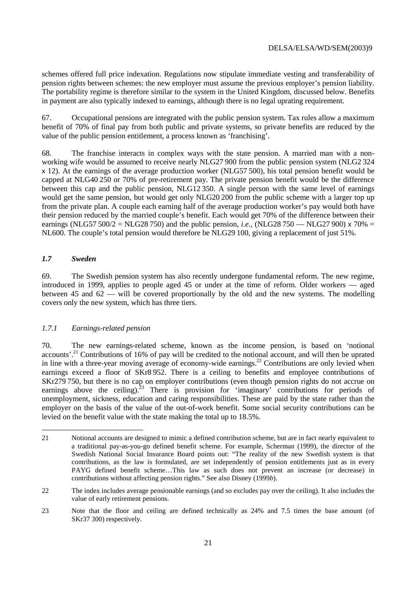schemes offered full price indexation. Regulations now stipulate immediate vesting and transferability of pension rights between schemes: the new employer must assume the previous employer's pension liability. The portability regime is therefore similar to the system in the United Kingdom, discussed below. Benefits in payment are also typically indexed to earnings, although there is no legal uprating requirement.

67. Occupational pensions are integrated with the public pension system. Tax rules allow a maximum benefit of 70% of final pay from both public and private systems, so private benefits are reduced by the value of the public pension entitlement, a process known as 'franchising'.

68. The franchise interacts in complex ways with the state pension. A married man with a nonworking wife would be assumed to receive nearly NLG27 900 from the public pension system (NLG2 324 x 12). At the earnings of the average production worker (NLG57 500), his total pension benefit would be capped at NLG40 250 or 70% of pre-retirement pay. The private pension benefit would be the difference between this cap and the public pension, NLG12 350. A single person with the same level of earnings would get the same pension, but would get only NLG20 200 from the public scheme with a larger top up from the private plan. A couple each earning half of the average production worker's pay would both have their pension reduced by the married couple's benefit. Each would get 70% of the difference between their earnings (NLG57 500/2 = NLG28 750) and the public pension, *i.e.*, (NLG28 750 — NLG27 900)  $\times$  70% = NL600. The couple's total pension would therefore be NLG29 100, giving a replacement of just 51%.

### *1.7 Sweden*

69. The Swedish pension system has also recently undergone fundamental reform. The new regime, introduced in 1999, applies to people aged 45 or under at the time of reform. Older workers — aged between 45 and  $62 -$  will be covered proportionally by the old and the new systems. The modelling covers only the new system, which has three tiers.

### *1.7.1 Earnings-related pension*

70. The new earnings-related scheme, known as the income pension, is based on 'notional accounts'.21 Contributions of 16% of pay will be credited to the notional account, and will then be uprated in line with a three-year moving average of economy-wide earnings.<sup>22</sup> Contributions are only levied when earnings exceed a floor of SKr8 952. There is a ceiling to benefits and employee contributions of SKr279 750, but there is no cap on employer contributions (even though pension rights do not accrue on earnings above the ceiling).<sup>23</sup> There is provision for 'imaginary' contributions for periods of unemployment, sickness, education and caring responsibilities. These are paid by the state rather than the employer on the basis of the value of the out-of-work benefit. Some social security contributions can be levied on the benefit value with the state making the total up to 18.5%.

 $\overline{a}$ 21 Notional accounts are designed to mimic a defined contribution scheme, but are in fact nearly equivalent to a traditional pay-as-you-go defined benefit scheme. For example, Scherman (1999), the director of the Swedish National Social Insurance Board points out: "The reality of the new Swedish system is that contributions, as the law is formulated, are set independently of pension entitlements just as in every PAYG defined benefit scheme…This law as such does not prevent an increase (or decrease) in contributions without affecting pension rights." See also Disney (1999*b*).

<sup>22</sup> The index includes average pensionable earnings (and so excludes pay over the ceiling). It also includes the value of early retirement pensions.

<sup>23</sup> Note that the floor and ceiling are defined technically as 24% and 7.5 times the base amount (of SKr37 300) respectively.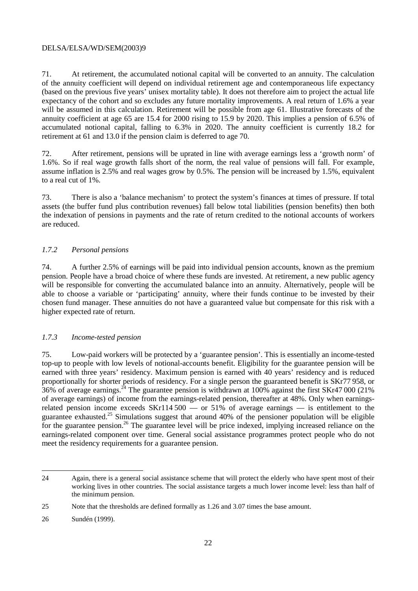71. At retirement, the accumulated notional capital will be converted to an annuity. The calculation of the annuity coefficient will depend on individual retirement age and contemporaneous life expectancy (based on the previous five years' unisex mortality table). It does not therefore aim to project the actual life expectancy of the cohort and so excludes any future mortality improvements. A real return of 1.6% a year will be assumed in this calculation. Retirement will be possible from age 61. Illustrative forecasts of the annuity coefficient at age 65 are 15.4 for 2000 rising to 15.9 by 2020. This implies a pension of 6.5% of accumulated notional capital, falling to 6.3% in 2020. The annuity coefficient is currently 18.2 for retirement at 61 and 13.0 if the pension claim is deferred to age 70.

72. After retirement, pensions will be uprated in line with average earnings less a 'growth norm' of 1.6%. So if real wage growth falls short of the norm, the real value of pensions will fall. For example, assume inflation is 2.5% and real wages grow by 0.5%. The pension will be increased by 1.5%, equivalent to a real cut of 1%.

73. There is also a 'balance mechanism' to protect the system's finances at times of pressure. If total assets (the buffer fund plus contribution revenues) fall below total liabilities (pension benefits) then both the indexation of pensions in payments and the rate of return credited to the notional accounts of workers are reduced.

### *1.7.2 Personal pensions*

74. A further 2.5% of earnings will be paid into individual pension accounts, known as the premium pension. People have a broad choice of where these funds are invested. At retirement, a new public agency will be responsible for converting the accumulated balance into an annuity. Alternatively, people will be able to choose a variable or 'participating' annuity, where their funds continue to be invested by their chosen fund manager. These annuities do not have a guaranteed value but compensate for this risk with a higher expected rate of return.

### *1.7.3 Income-tested pension*

75. Low-paid workers will be protected by a 'guarantee pension'. This is essentially an income-tested top-up to people with low levels of notional-accounts benefit. Eligibility for the guarantee pension will be earned with three years' residency. Maximum pension is earned with 40 years' residency and is reduced proportionally for shorter periods of residency. For a single person the guaranteed benefit is SKr77 958, or  $36\%$  of average earnings.<sup>24</sup> The guarantee pension is withdrawn at 100% against the first SKr47 000 (21%) of average earnings) of income from the earnings-related pension, thereafter at 48%. Only when earningsrelated pension income exceeds SKr114 500 — or 51% of average earnings — is entitlement to the guarantee exhausted.25 Simulations suggest that around 40% of the pensioner population will be eligible for the guarantee pension.<sup>26</sup> The guarantee level will be price indexed, implying increased reliance on the earnings-related component over time. General social assistance programmes protect people who do not meet the residency requirements for a guarantee pension.

 $\overline{a}$ 24 Again, there is a general social assistance scheme that will protect the elderly who have spent most of their working lives in other countries. The social assistance targets a much lower income level: less than half of the minimum pension.

<sup>25</sup> Note that the thresholds are defined formally as 1.26 and 3.07 times the base amount.

<sup>26</sup> Sundén (1999).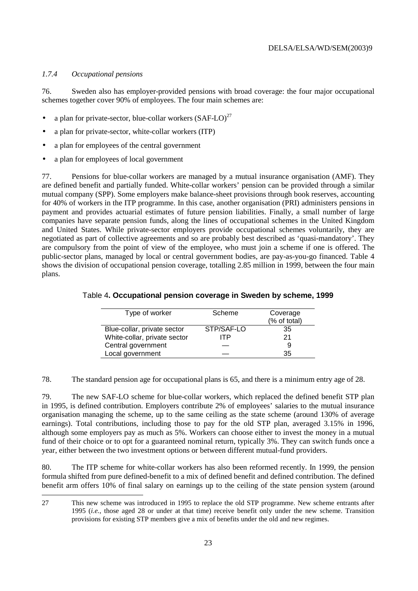### *1.7.4 Occupational pensions*

 $\overline{a}$ 

76. Sweden also has employer-provided pensions with broad coverage: the four major occupational schemes together cover 90% of employees. The four main schemes are:

- a plan for private-sector, blue-collar workers  $(SAF-LO)^{27}$
- a plan for private-sector, white-collar workers (ITP)
- a plan for employees of the central government
- a plan for employees of local government

77. Pensions for blue-collar workers are managed by a mutual insurance organisation (AMF). They are defined benefit and partially funded. White-collar workers' pension can be provided through a similar mutual company (SPP). Some employers make balance-sheet provisions through book reserves, accounting for 40% of workers in the ITP programme. In this case, another organisation (PRI) administers pensions in payment and provides actuarial estimates of future pension liabilities. Finally, a small number of large companies have separate pension funds, along the lines of occupational schemes in the United Kingdom and United States. While private-sector employers provide occupational schemes voluntarily, they are negotiated as part of collective agreements and so are probably best described as 'quasi-mandatory'. They are compulsory from the point of view of the employee, who must join a scheme if one is offered. The public-sector plans, managed by local or central government bodies, are pay-as-you-go financed. Table 4 shows the division of occupational pension coverage, totalling 2.85 million in 1999, between the four main plans.

| Type of worker               | Scheme     | Coverage     |
|------------------------------|------------|--------------|
|                              |            | (% of total) |
| Blue-collar, private sector  | STP/SAF-LO | 35           |
| White-collar, private sector | ITP        | 21           |
| Central government           |            | 9            |
| Local government             |            | 35           |

#### Table 4**. Occupational pension coverage in Sweden by scheme, 1999**

78. The standard pension age for occupational plans is 65, and there is a minimum entry age of 28.

79. The new SAF-LO scheme for blue-collar workers, which replaced the defined benefit STP plan in 1995, is defined contribution. Employers contribute 2% of employees' salaries to the mutual insurance organisation managing the scheme, up to the same ceiling as the state scheme (around 130% of average earnings). Total contributions, including those to pay for the old STP plan, averaged 3.15% in 1996, although some employers pay as much as 5%. Workers can choose either to invest the money in a mutual fund of their choice or to opt for a guaranteed nominal return, typically 3%. They can switch funds once a year, either between the two investment options or between different mutual-fund providers.

80. The ITP scheme for white-collar workers has also been reformed recently. In 1999, the pension formula shifted from pure defined-benefit to a mix of defined benefit and defined contribution. The defined benefit arm offers 10% of final salary on earnings up to the ceiling of the state pension system (around

<sup>27</sup> This new scheme was introduced in 1995 to replace the old STP programme. New scheme entrants after 1995 (*i.e.*, those aged 28 or under at that time) receive benefit only under the new scheme. Transition provisions for existing STP members give a mix of benefits under the old and new regimes.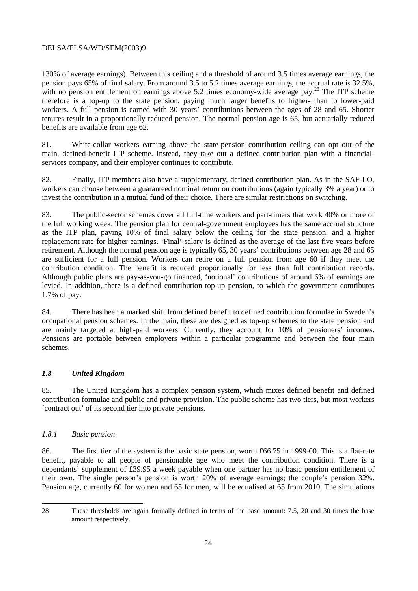130% of average earnings). Between this ceiling and a threshold of around 3.5 times average earnings, the pension pays 65% of final salary. From around 3.5 to 5.2 times average earnings, the accrual rate is 32.5%, with no pension entitlement on earnings above 5.2 times economy-wide average pay.<sup>28</sup> The ITP scheme therefore is a top-up to the state pension, paying much larger benefits to higher- than to lower-paid workers. A full pension is earned with 30 years' contributions between the ages of 28 and 65. Shorter tenures result in a proportionally reduced pension. The normal pension age is 65, but actuarially reduced benefits are available from age 62.

81. White-collar workers earning above the state-pension contribution ceiling can opt out of the main, defined-benefit ITP scheme. Instead, they take out a defined contribution plan with a financialservices company, and their employer continues to contribute.

82. Finally, ITP members also have a supplementary, defined contribution plan. As in the SAF-LO, workers can choose between a guaranteed nominal return on contributions (again typically 3% a year) or to invest the contribution in a mutual fund of their choice. There are similar restrictions on switching.

83. The public-sector schemes cover all full-time workers and part-timers that work 40% or more of the full working week. The pension plan for central-government employees has the same accrual structure as the ITP plan, paying 10% of final salary below the ceiling for the state pension, and a higher replacement rate for higher earnings. 'Final' salary is defined as the average of the last five years before retirement. Although the normal pension age is typically 65, 30 years' contributions between age 28 and 65 are sufficient for a full pension. Workers can retire on a full pension from age 60 if they meet the contribution condition. The benefit is reduced proportionally for less than full contribution records. Although public plans are pay-as-you-go financed, 'notional' contributions of around 6% of earnings are levied. In addition, there is a defined contribution top-up pension, to which the government contributes 1.7% of pay.

84. There has been a marked shift from defined benefit to defined contribution formulae in Sweden's occupational pension schemes. In the main, these are designed as top-up schemes to the state pension and are mainly targeted at high-paid workers. Currently, they account for 10% of pensioners' incomes. Pensions are portable between employers within a particular programme and between the four main schemes.

### *1.8 United Kingdom*

85. The United Kingdom has a complex pension system, which mixes defined benefit and defined contribution formulae and public and private provision. The public scheme has two tiers, but most workers 'contract out' of its second tier into private pensions.

### *1.8.1 Basic pension*

86. The first tier of the system is the basic state pension, worth £66.75 in 1999-00. This is a flat-rate benefit, payable to all people of pensionable age who meet the contribution condition. There is a dependants' supplement of £39.95 a week payable when one partner has no basic pension entitlement of their own. The single person's pension is worth 20% of average earnings; the couple's pension 32%. Pension age, currently 60 for women and 65 for men, will be equalised at 65 from 2010. The simulations

 28 These thresholds are again formally defined in terms of the base amount: 7.5, 20 and 30 times the base amount respectively.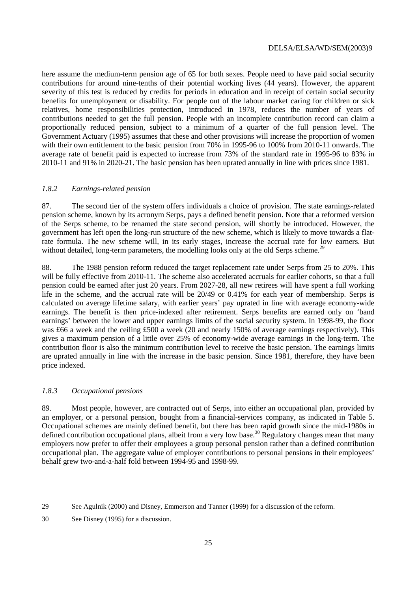here assume the medium-term pension age of 65 for both sexes. People need to have paid social security contributions for around nine-tenths of their potential working lives (44 years). However, the apparent severity of this test is reduced by credits for periods in education and in receipt of certain social security benefits for unemployment or disability. For people out of the labour market caring for children or sick relatives, home responsibilities protection, introduced in 1978, reduces the number of years of contributions needed to get the full pension. People with an incomplete contribution record can claim a proportionally reduced pension, subject to a minimum of a quarter of the full pension level. The Government Actuary (1995) assumes that these and other provisions will increase the proportion of women with their own entitlement to the basic pension from 70% in 1995-96 to 100% from 2010-11 onwards. The average rate of benefit paid is expected to increase from 73% of the standard rate in 1995-96 to 83% in 2010-11 and 91% in 2020-21. The basic pension has been uprated annually in line with prices since 1981.

### *1.8.2 Earnings-related pension*

87. The second tier of the system offers individuals a choice of provision. The state earnings-related pension scheme, known by its acronym Serps, pays a defined benefit pension. Note that a reformed version of the Serps scheme, to be renamed the state second pension, will shortly be introduced. However, the government has left open the long-run structure of the new scheme, which is likely to move towards a flatrate formula. The new scheme will, in its early stages, increase the accrual rate for low earners. But without detailed, long-term parameters, the modelling looks only at the old Serps scheme.<sup>29</sup>

88. The 1988 pension reform reduced the target replacement rate under Serps from 25 to 20%. This will be fully effective from 2010-11. The scheme also accelerated accruals for earlier cohorts, so that a full pension could be earned after just 20 years. From 2027-28, all new retirees will have spent a full working life in the scheme, and the accrual rate will be 20/49 or 0.41% for each year of membership. Serps is calculated on average lifetime salary, with earlier years' pay uprated in line with average economy-wide earnings. The benefit is then price-indexed after retirement. Serps benefits are earned only on 'band earnings' between the lower and upper earnings limits of the social security system. In 1998-99, the floor was £66 a week and the ceiling £500 a week (20 and nearly 150% of average earnings respectively). This gives a maximum pension of a little over 25% of economy-wide average earnings in the long-term. The contribution floor is also the minimum contribution level to receive the basic pension. The earnings limits are uprated annually in line with the increase in the basic pension. Since 1981, therefore, they have been price indexed.

### *1.8.3 Occupational pensions*

89. Most people, however, are contracted out of Serps, into either an occupational plan, provided by an employer, or a personal pension, bought from a financial-services company, as indicated in Table 5. Occupational schemes are mainly defined benefit, but there has been rapid growth since the mid-1980s in defined contribution occupational plans, albeit from a very low base.<sup>30</sup> Regulatory changes mean that many employers now prefer to offer their employees a group personal pension rather than a defined contribution occupational plan. The aggregate value of employer contributions to personal pensions in their employees' behalf grew two-and-a-half fold between 1994-95 and 1998-99.

 29 See Agulnik (2000) and Disney, Emmerson and Tanner (1999) for a discussion of the reform.

<sup>30</sup> See Disney (1995) for a discussion.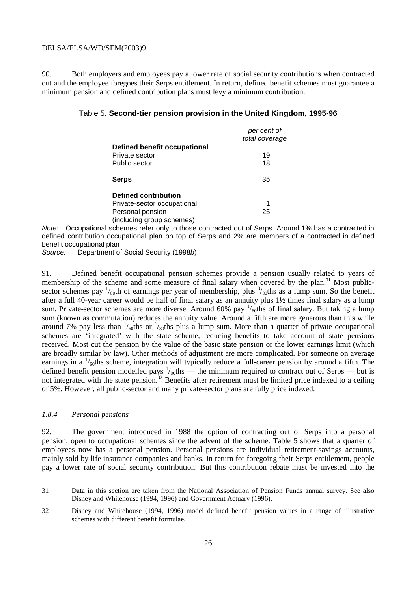90. Both employers and employees pay a lower rate of social security contributions when contracted out and the employee foregoes their Serps entitlement. In return, defined benefit schemes must guarantee a minimum pension and defined contribution plans must levy a minimum contribution.

### Table 5. **Second-tier pension provision in the United Kingdom, 1995-96**

|                                     | per cent of<br>total coverage |
|-------------------------------------|-------------------------------|
| <b>Defined benefit occupational</b> |                               |
| Private sector                      | 19                            |
| Public sector                       | 18                            |
| Serps                               | 35                            |
| Defined contribution                |                               |
| Private-sector occupational         |                               |
| Personal pension                    | 25                            |
| (including group schemes)           |                               |

Note: Occupational schemes refer only to those contracted out of Serps. Around 1% has a contracted in defined contribution occupational plan on top of Serps and 2% are members of a contracted in defined benefit occupational plan

Source: Department of Social Security (1998b)

91. Defined benefit occupational pension schemes provide a pension usually related to years of membership of the scheme and some measure of final salary when covered by the plan.<sup>31</sup> Most publicsector schemes pay  $\frac{1}{80}$ th of earnings per year of membership, plus  $\frac{3}{80}$ ths as a lump sum. So the benefit after a full 40-year career would be half of final salary as an annuity plus 1½ times final salary as a lump sum. Private-sector schemes are more diverse. Around 60% pay  $\frac{1}{60}$ ths of final salary. But taking a lump sum (known as commutation) reduces the annuity value. Around a fifth are more generous than this while around 7% pay less than  $\frac{1}{60}$ ths or  $\frac{1}{80}$ ths plus a lump sum. More than a quarter of private occupational schemes are 'integrated' with the state scheme, reducing benefits to take account of state pensions received. Most cut the pension by the value of the basic state pension or the lower earnings limit (which are broadly similar by law). Other methods of adjustment are more complicated. For someone on average earnings in a  $\frac{1}{60}$ ths scheme, integration will typically reduce a full-career pension by around a fifth. The defined benefit pension modelled pays  $\frac{1}{80}$ ths — the minimum required to contract out of Serps — but is not integrated with the state pension.<sup>32</sup> Benefits after retirement must be limited price indexed to a ceiling of 5%. However, all public-sector and many private-sector plans are fully price indexed.

### *1.8.4 Personal pensions*

 $\overline{a}$ 

92. The government introduced in 1988 the option of contracting out of Serps into a personal pension, open to occupational schemes since the advent of the scheme. Table 5 shows that a quarter of employees now has a personal pension. Personal pensions are individual retirement-savings accounts, mainly sold by life insurance companies and banks. In return for foregoing their Serps entitlement, people pay a lower rate of social security contribution. But this contribution rebate must be invested into the

<sup>31</sup> Data in this section are taken from the National Association of Pension Funds annual survey. See also Disney and Whitehouse (1994, 1996) and Government Actuary (1996).

<sup>32</sup> Disney and Whitehouse (1994, 1996) model defined benefit pension values in a range of illustrative schemes with different benefit formulae.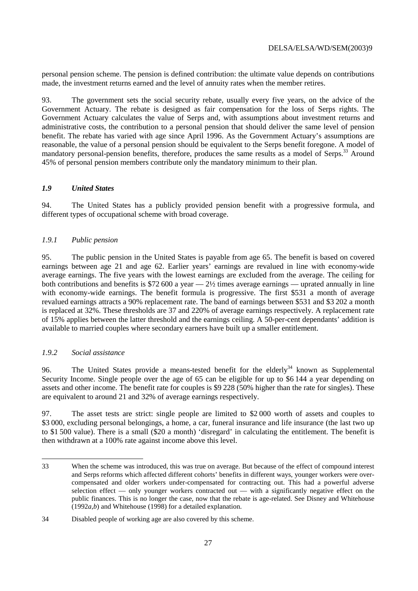personal pension scheme. The pension is defined contribution: the ultimate value depends on contributions made, the investment returns earned and the level of annuity rates when the member retires.

93. The government sets the social security rebate, usually every five years, on the advice of the Government Actuary. The rebate is designed as fair compensation for the loss of Serps rights. The Government Actuary calculates the value of Serps and, with assumptions about investment returns and administrative costs, the contribution to a personal pension that should deliver the same level of pension benefit. The rebate has varied with age since April 1996. As the Government Actuary's assumptions are reasonable, the value of a personal pension should be equivalent to the Serps benefit foregone. A model of mandatory personal-pension benefits, therefore, produces the same results as a model of Serps.<sup>33</sup> Around 45% of personal pension members contribute only the mandatory minimum to their plan.

### *1.9 United States*

94. The United States has a publicly provided pension benefit with a progressive formula, and different types of occupational scheme with broad coverage.

### *1.9.1 Public pension*

95. The public pension in the United States is payable from age 65. The benefit is based on covered earnings between age 21 and age 62. Earlier years' earnings are revalued in line with economy-wide average earnings. The five years with the lowest earnings are excluded from the average. The ceiling for both contributions and benefits is \$72 600 a year — 2½ times average earnings — uprated annually in line with economy-wide earnings. The benefit formula is progressive. The first \$531 a month of average revalued earnings attracts a 90% replacement rate. The band of earnings between \$531 and \$3 202 a month is replaced at 32%. These thresholds are 37 and 220% of average earnings respectively. A replacement rate of 15% applies between the latter threshold and the earnings ceiling. A 50-per-cent dependants' addition is available to married couples where secondary earners have built up a smaller entitlement.

### *1.9.2 Social assistance*

 $\overline{a}$ 

96. The United States provide a means-tested benefit for the elderly<sup>34</sup> known as Supplemental Security Income. Single people over the age of 65 can be eligible for up to \$6 144 a year depending on assets and other income. The benefit rate for couples is \$9 228 (50% higher than the rate for singles). These are equivalent to around 21 and 32% of average earnings respectively.

97. The asset tests are strict: single people are limited to \$2 000 worth of assets and couples to \$3,000, excluding personal belongings, a home, a car, funeral insurance and life insurance (the last two up to \$1 500 value). There is a small (\$20 a month) 'disregard' in calculating the entitlement. The benefit is then withdrawn at a 100% rate against income above this level.

<sup>33</sup> When the scheme was introduced, this was true on average. But because of the effect of compound interest and Serps reforms which affected different cohorts' benefits in different ways, younger workers were overcompensated and older workers under-compensated for contracting out. This had a powerful adverse selection effect — only younger workers contracted out — with a significantly negative effect on the public finances. This is no longer the case, now that the rebate is age-related. See Disney and Whitehouse (1992*a*,*b*) and Whitehouse (1998) for a detailed explanation.

<sup>34</sup> Disabled people of working age are also covered by this scheme.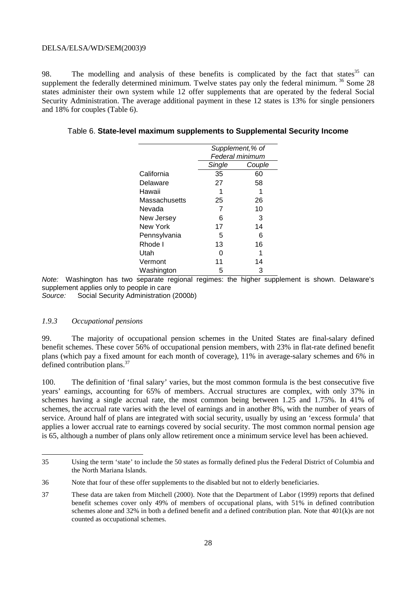98. The modelling and analysis of these benefits is complicated by the fact that states  $35$  can supplement the federally determined minimum. Twelve states pay only the federal minimum. <sup>36</sup> Some 28 states administer their own system while 12 offer supplements that are operated by the federal Social Security Administration. The average additional payment in these 12 states is 13% for single pensioners and 18% for couples (Table 6).

|               | Supplement,% of |                 |  |
|---------------|-----------------|-----------------|--|
|               |                 | Federal minimum |  |
|               | Single          | Couple          |  |
| California    | 35              | 60              |  |
| Delaware      | 27              | 58              |  |
| Hawaii        |                 | 1               |  |
| Massachusetts | 25              | 26              |  |
| Nevada        | 7               | 10              |  |
| New Jersey    | 6               | 3               |  |
| New York      | 17              | 14              |  |
| Pennsylvania  | 5               | 6               |  |
| Rhode I       | 13              | 16              |  |
| Utah          |                 | 1               |  |
| Vermont       | 11              | 14              |  |
| Washington    | 5               | 3               |  |

### Table 6. **State-level maximum supplements to Supplemental Security Income**

Note: Washington has two separate regional regimes: the higher supplement is shown. Delaware's supplement applies only to people in care Source: Social Security Administration (2000b)

#### *1.9.3 Occupational pensions*

 $\overline{a}$ 

99. The majority of occupational pension schemes in the United States are final-salary defined benefit schemes. These cover 56% of occupational pension members, with 23% in flat-rate defined benefit plans (which pay a fixed amount for each month of coverage), 11% in average-salary schemes and 6% in defined contribution plans.<sup>37</sup>

100. The definition of 'final salary' varies, but the most common formula is the best consecutive five years' earnings, accounting for 65% of members. Accrual structures are complex, with only 37% in schemes having a single accrual rate, the most common being between 1.25 and 1.75%. In 41% of schemes, the accrual rate varies with the level of earnings and in another 8%, with the number of years of service. Around half of plans are integrated with social security, usually by using an 'excess formula' that applies a lower accrual rate to earnings covered by social security. The most common normal pension age is 65, although a number of plans only allow retirement once a minimum service level has been achieved.

<sup>35</sup> Using the term 'state' to include the 50 states as formally defined plus the Federal District of Columbia and the North Mariana Islands.

<sup>36</sup> Note that four of these offer supplements to the disabled but not to elderly beneficiaries.

<sup>37</sup> These data are taken from Mitchell (2000). Note that the Department of Labor (1999) reports that defined benefit schemes cover only 49% of members of occupational plans, with 51% in defined contribution schemes alone and 32% in both a defined benefit and a defined contribution plan. Note that 401(k)s are not counted as occupational schemes.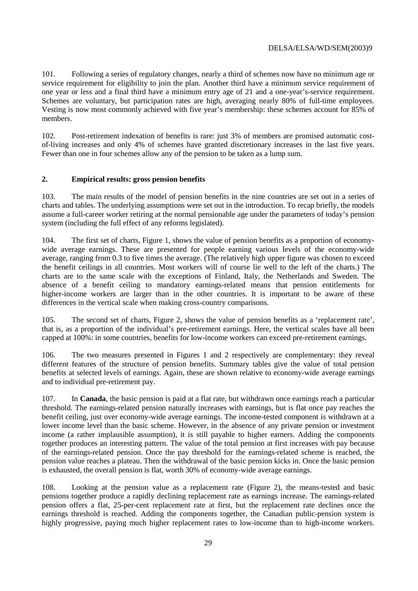101. Following a series of regulatory changes, nearly a third of schemes now have no minimum age or service requirement for eligibility to join the plan. Another third have a minimum service requirement of one year or less and a final third have a minimum entry age of 21 and a one-year's-service requirement. Schemes are voluntary, but participation rates are high, averaging nearly 80% of full-time employees. Vesting is now most commonly achieved with five year's membership: these schemes account for 85% of members.

102. Post-retirement indexation of benefits is rare: just 3% of members are promised automatic costof-living increases and only 4% of schemes have granted discretionary increases in the last five years. Fewer than one in four schemes allow any of the pension to be taken as a lump sum.

### **2. Empirical results: gross pension benefits**

103. The main results of the model of pension benefits in the nine countries are set out in a series of charts and tables. The underlying assumptions were set out in the introduction. To recap briefly, the models assume a full-career worker retiring at the normal pensionable age under the parameters of today's pension system (including the full effect of any reforms legislated).

104. The first set of charts, Figure 1, shows the value of pension benefits as a proportion of economywide average earnings. These are presented for people earning various levels of the economy-wide average, ranging from 0.3 to five times the average. (The relatively high upper figure was chosen to exceed the benefit ceilings in all countries. Most workers will of course lie well to the left of the charts.) The charts are to the same scale with the exceptions of Finland, Italy, the Netherlands and Sweden. The absence of a benefit ceiling to mandatory earnings-related means that pension entitlements for higher-income workers are larger than in the other countries. It is important to be aware of these differences in the vertical scale when making cross-country comparisons.

105. The second set of charts, Figure 2, shows the value of pension benefits as a 'replacement rate', that is, as a proportion of the individual's pre-retirement earnings. Here, the vertical scales have all been capped at 100%: in some countries, benefits for low-income workers can exceed pre-retirement earnings.

106. The two measures presented in Figures 1 and 2 respectively are complementary: they reveal different features of the structure of pension benefits. Summary tables give the value of total pension benefits at selected levels of earnings. Again, these are shown relative to economy-wide average earnings and to individual pre-retirement pay.

107. In **Canada**, the basic pension is paid at a flat rate, but withdrawn once earnings reach a particular threshold. The earnings-related pension naturally increases with earnings, but is flat once pay reaches the benefit ceiling, just over economy-wide average earnings. The income-tested component is withdrawn at a lower income level than the basic scheme. However, in the absence of any private pension or investment income (a rather implausible assumption), it is still payable to higher earners. Adding the components together produces an interesting pattern. The value of the total pension at first increases with pay because of the earnings-related pension. Once the pay threshold for the earnings-related scheme is reached, the pension value reaches a plateau. Then the withdrawal of the basic pension kicks in. Once the basic pension is exhausted, the overall pension is flat, worth 30% of economy-wide average earnings.

108. Looking at the pension value as a replacement rate (Figure 2), the means-tested and basic pensions together produce a rapidly declining replacement rate as earnings increase. The earnings-related pension offers a flat, 25-per-cent replacement rate at first, but the replacement rate declines once the earnings threshold is reached. Adding the components together, the Canadian public-pension system is highly progressive, paying much higher replacement rates to low-income than to high-income workers.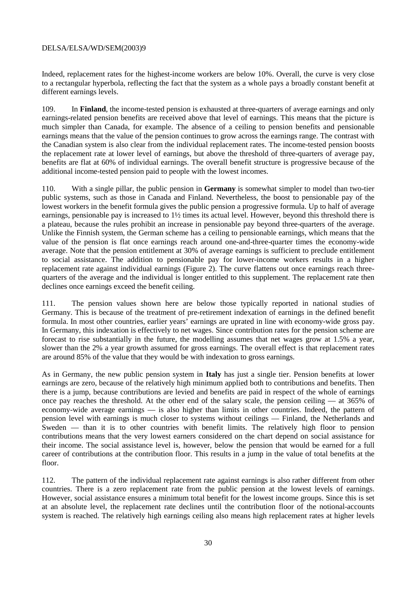Indeed, replacement rates for the highest-income workers are below 10%. Overall, the curve is very close to a rectangular hyperbola, reflecting the fact that the system as a whole pays a broadly constant benefit at different earnings levels.

109. In **Finland**, the income-tested pension is exhausted at three-quarters of average earnings and only earnings-related pension benefits are received above that level of earnings. This means that the picture is much simpler than Canada, for example. The absence of a ceiling to pension benefits and pensionable earnings means that the value of the pension continues to grow across the earnings range. The contrast with the Canadian system is also clear from the individual replacement rates. The income-tested pension boosts the replacement rate at lower level of earnings, but above the threshold of three-quarters of average pay, benefits are flat at 60% of individual earnings. The overall benefit structure is progressive because of the additional income-tested pension paid to people with the lowest incomes.

110. With a single pillar, the public pension in **Germany** is somewhat simpler to model than two-tier public systems, such as those in Canada and Finland. Nevertheless, the boost to pensionable pay of the lowest workers in the benefit formula gives the public pension a progressive formula. Up to half of average earnings, pensionable pay is increased to 1½ times its actual level. However, beyond this threshold there is a plateau, because the rules prohibit an increase in pensionable pay beyond three-quarters of the average. Unlike the Finnish system, the German scheme has a ceiling to pensionable earnings, which means that the value of the pension is flat once earnings reach around one-and-three-quarter times the economy-wide average. Note that the pension entitlement at 30% of average earnings is sufficient to preclude entitlement to social assistance. The addition to pensionable pay for lower-income workers results in a higher replacement rate against individual earnings (Figure 2). The curve flattens out once earnings reach threequarters of the average and the individual is longer entitled to this supplement. The replacement rate then declines once earnings exceed the benefit ceiling.

111. The pension values shown here are below those typically reported in national studies of Germany. This is because of the treatment of pre-retirement indexation of earnings in the defined benefit formula. In most other countries, earlier years' earnings are uprated in line with economy-wide gross pay. In Germany, this indexation is effectively to net wages. Since contribution rates for the pension scheme are forecast to rise substantially in the future, the modelling assumes that net wages grow at 1.5% a year, slower than the 2% a year growth assumed for gross earnings. The overall effect is that replacement rates are around 85% of the value that they would be with indexation to gross earnings.

As in Germany, the new public pension system in **Italy** has just a single tier. Pension benefits at lower earnings are zero, because of the relatively high minimum applied both to contributions and benefits. Then there is a jump, because contributions are levied and benefits are paid in respect of the whole of earnings once pay reaches the threshold. At the other end of the salary scale, the pension ceiling — at 365% of economy-wide average earnings — is also higher than limits in other countries. Indeed, the pattern of pension level with earnings is much closer to systems without ceilings — Finland, the Netherlands and Sweden — than it is to other countries with benefit limits. The relatively high floor to pension contributions means that the very lowest earners considered on the chart depend on social assistance for their income. The social assistance level is, however, below the pension that would be earned for a full career of contributions at the contribution floor. This results in a jump in the value of total benefits at the floor.

112. The pattern of the individual replacement rate against earnings is also rather different from other countries. There is a zero replacement rate from the public pension at the lowest levels of earnings. However, social assistance ensures a minimum total benefit for the lowest income groups. Since this is set at an absolute level, the replacement rate declines until the contribution floor of the notional-accounts system is reached. The relatively high earnings ceiling also means high replacement rates at higher levels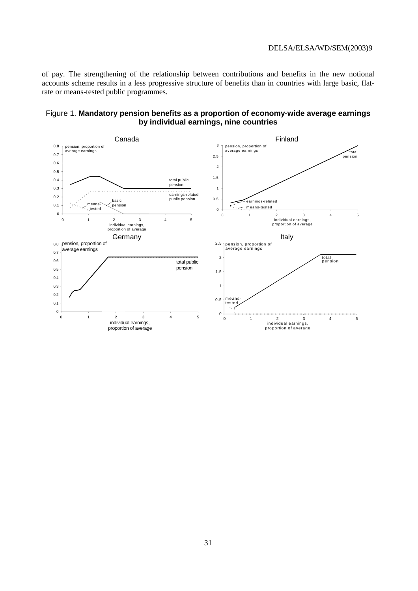of pay. The strengthening of the relationship between contributions and benefits in the new notional accounts scheme results in a less progressive structure of benefits than in countries with large basic, flatrate or means-tested public programmes.

### Figure 1. **Mandatory pension benefits as a proportion of economy-wide average earnings by individual earnings, nine countries**

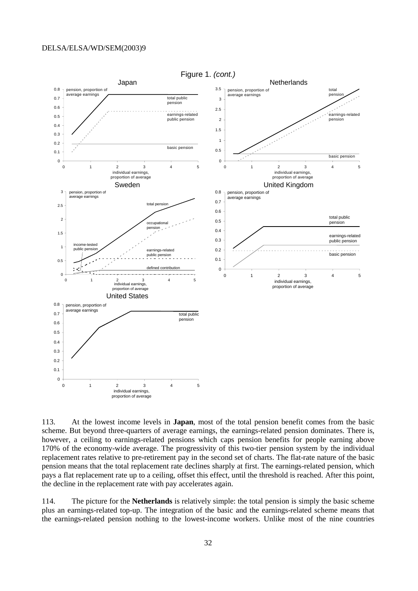

113. At the lowest income levels in **Japan**, most of the total pension benefit comes from the basic scheme. But beyond three-quarters of average earnings, the earnings-related pension dominates. There is, however, a ceiling to earnings-related pensions which caps pension benefits for people earning above 170% of the economy-wide average. The progressivity of this two-tier pension system by the individual replacement rates relative to pre-retirement pay in the second set of charts. The flat-rate nature of the basic pension means that the total replacement rate declines sharply at first. The earnings-related pension, which pays a flat replacement rate up to a ceiling, offset this effect, until the threshold is reached. After this point, the decline in the replacement rate with pay accelerates again.

114. The picture for the **Netherlands** is relatively simple: the total pension is simply the basic scheme plus an earnings-related top-up. The integration of the basic and the earnings-related scheme means that the earnings-related pension nothing to the lowest-income workers. Unlike most of the nine countries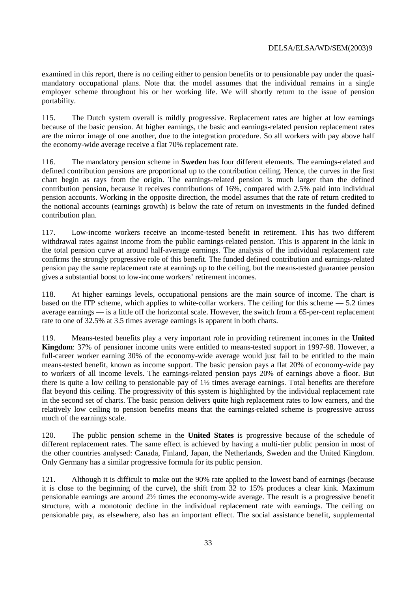examined in this report, there is no ceiling either to pension benefits or to pensionable pay under the quasimandatory occupational plans. Note that the model assumes that the individual remains in a single employer scheme throughout his or her working life. We will shortly return to the issue of pension portability.

115. The Dutch system overall is mildly progressive. Replacement rates are higher at low earnings because of the basic pension. At higher earnings, the basic and earnings-related pension replacement rates are the mirror image of one another, due to the integration procedure. So all workers with pay above half the economy-wide average receive a flat 70% replacement rate.

116. The mandatory pension scheme in **Sweden** has four different elements. The earnings-related and defined contribution pensions are proportional up to the contribution ceiling. Hence, the curves in the first chart begin as rays from the origin. The earnings-related pension is much larger than the defined contribution pension, because it receives contributions of 16%, compared with 2.5% paid into individual pension accounts. Working in the opposite direction, the model assumes that the rate of return credited to the notional accounts (earnings growth) is below the rate of return on investments in the funded defined contribution plan.

117. Low-income workers receive an income-tested benefit in retirement. This has two different withdrawal rates against income from the public earnings-related pension. This is apparent in the kink in the total pension curve at around half-average earnings. The analysis of the individual replacement rate confirms the strongly progressive role of this benefit. The funded defined contribution and earnings-related pension pay the same replacement rate at earnings up to the ceiling, but the means-tested guarantee pension gives a substantial boost to low-income workers' retirement incomes.

118. At higher earnings levels, occupational pensions are the main source of income. The chart is based on the ITP scheme, which applies to white-collar workers. The ceiling for this scheme — 5.2 times average earnings — is a little off the horizontal scale. However, the switch from a 65-per-cent replacement rate to one of 32.5% at 3.5 times average earnings is apparent in both charts.

119. Means-tested benefits play a very important role in providing retirement incomes in the **United Kingdom**: 37% of pensioner income units were entitled to means-tested support in 1997-98. However, a full-career worker earning 30% of the economy-wide average would just fail to be entitled to the main means-tested benefit, known as income support. The basic pension pays a flat 20% of economy-wide pay to workers of all income levels. The earnings-related pension pays 20% of earnings above a floor. But there is quite a low ceiling to pensionable pay of  $1\frac{1}{2}$  times average earnings. Total benefits are therefore flat beyond this ceiling. The progressivity of this system is highlighted by the individual replacement rate in the second set of charts. The basic pension delivers quite high replacement rates to low earners, and the relatively low ceiling to pension benefits means that the earnings-related scheme is progressive across much of the earnings scale.

120. The public pension scheme in the **United States** is progressive because of the schedule of different replacement rates. The same effect is achieved by having a multi-tier public pension in most of the other countries analysed: Canada, Finland, Japan, the Netherlands, Sweden and the United Kingdom. Only Germany has a similar progressive formula for its public pension.

121. Although it is difficult to make out the 90% rate applied to the lowest band of earnings (because it is close to the beginning of the curve), the shift from 32 to 15% produces a clear kink. Maximum pensionable earnings are around 2½ times the economy-wide average. The result is a progressive benefit structure, with a monotonic decline in the individual replacement rate with earnings. The ceiling on pensionable pay, as elsewhere, also has an important effect. The social assistance benefit, supplemental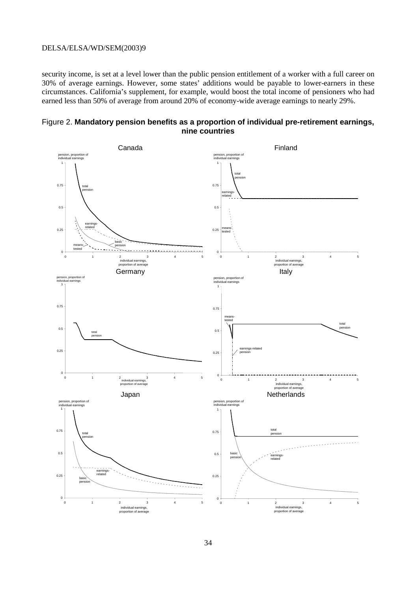security income, is set at a level lower than the public pension entitlement of a worker with a full career on 30% of average earnings. However, some states' additions would be payable to lower-earners in these circumstances. California's supplement, for example, would boost the total income of pensioners who had earned less than 50% of average from around 20% of economy-wide average earnings to nearly 29%.



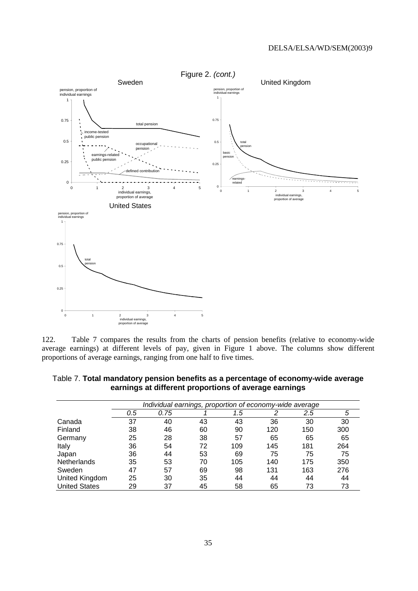

122. Table 7 compares the results from the charts of pension benefits (relative to economy-wide average earnings) at different levels of pay, given in Figure 1 above. The columns show different proportions of average earnings, ranging from one half to five times.

|                      | Individual earnings, proportion of economy-wide average |      |    |     |     |         |     |
|----------------------|---------------------------------------------------------|------|----|-----|-----|---------|-----|
|                      | 0.5                                                     | 0.75 |    | 1.5 | 2   | $2.5\,$ | 5   |
| Canada               | 37                                                      | 40   | 43 | 43  | 36  | 30      | 30  |
| Finland              | 38                                                      | 46   | 60 | 90  | 120 | 150     | 300 |
| Germany              | 25                                                      | 28   | 38 | 57  | 65  | 65      | 65  |
| Italy                | 36                                                      | 54   | 72 | 109 | 145 | 181     | 264 |
| Japan                | 36                                                      | 44   | 53 | 69  | 75  | 75      | 75  |
| Netherlands          | 35                                                      | 53   | 70 | 105 | 140 | 175     | 350 |
| Sweden               | 47                                                      | 57   | 69 | 98  | 131 | 163     | 276 |
| United Kingdom       | 25                                                      | 30   | 35 | 44  | 44  | 44      | 44  |
| <b>United States</b> | 29                                                      | 37   | 45 | 58  | 65  | 73      | 73  |

Table 7. **Total mandatory pension benefits as a percentage of economy-wide average earnings at different proportions of average earnings**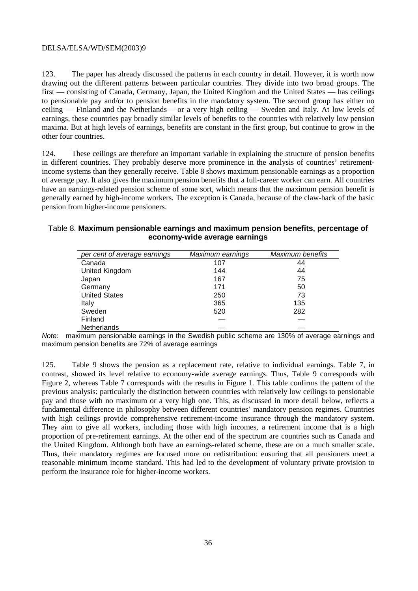123. The paper has already discussed the patterns in each country in detail. However, it is worth now drawing out the different patterns between particular countries. They divide into two broad groups. The first — consisting of Canada, Germany, Japan, the United Kingdom and the United States — has ceilings to pensionable pay and/or to pension benefits in the mandatory system. The second group has either no ceiling — Finland and the Netherlands— or a very high ceiling — Sweden and Italy. At low levels of earnings, these countries pay broadly similar levels of benefits to the countries with relatively low pension maxima. But at high levels of earnings, benefits are constant in the first group, but continue to grow in the other four countries.

124. These ceilings are therefore an important variable in explaining the structure of pension benefits in different countries. They probably deserve more prominence in the analysis of countries' retirementincome systems than they generally receive. Table 8 shows maximum pensionable earnings as a proportion of average pay. It also gives the maximum pension benefits that a full-career worker can earn. All countries have an earnings-related pension scheme of some sort, which means that the maximum pension benefit is generally earned by high-income workers. The exception is Canada, because of the claw-back of the basic pension from higher-income pensioners.

| Table 8. Maximum pensionable earnings and maximum pension benefits, percentage of |  |
|-----------------------------------------------------------------------------------|--|
| economy-wide average earnings                                                     |  |

| per cent of average earnings | Maximum earnings | Maximum benefits |
|------------------------------|------------------|------------------|
| Canada                       | 107              | 44               |
| United Kingdom               | 144              | 44               |
| Japan                        | 167              | 75               |
| Germany                      | 171              | 50               |
| <b>United States</b>         | 250              | 73               |
| Italy                        | 365              | 135              |
| Sweden                       | 520              | 282              |
| Finland                      |                  |                  |
| Netherlands                  |                  |                  |

Note: maximum pensionable earnings in the Swedish public scheme are 130% of average earnings and maximum pension benefits are 72% of average earnings

125. Table 9 shows the pension as a replacement rate, relative to individual earnings. Table 7, in contrast, showed its level relative to economy-wide average earnings. Thus, Table 9 corresponds with Figure 2, whereas Table 7 corresponds with the results in Figure 1. This table confirms the pattern of the previous analysis: particularly the distinction between countries with relatively low ceilings to pensionable pay and those with no maximum or a very high one. This, as discussed in more detail below, reflects a fundamental difference in philosophy between different countries' mandatory pension regimes. Countries with high ceilings provide comprehensive retirement-income insurance through the mandatory system. They aim to give all workers, including those with high incomes, a retirement income that is a high proportion of pre-retirement earnings. At the other end of the spectrum are countries such as Canada and the United Kingdom. Although both have an earnings-related scheme, these are on a much smaller scale. Thus, their mandatory regimes are focused more on redistribution: ensuring that all pensioners meet a reasonable minimum income standard. This had led to the development of voluntary private provision to perform the insurance role for higher-income workers.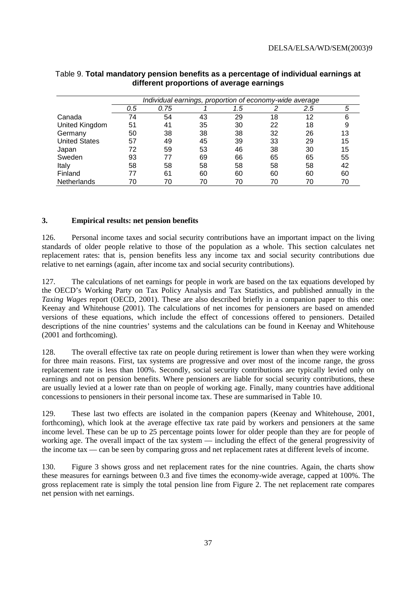|                      |     | Individual earnings, proportion of economy-wide average |    |     |    |         |    |
|----------------------|-----|---------------------------------------------------------|----|-----|----|---------|----|
|                      | 0.5 | 0.75                                                    |    | 1.5 | 2  | $2.5\,$ | 5  |
| Canada               | 74  | 54                                                      | 43 | 29  | 18 | 12      | 6  |
| United Kingdom       | 51  | 41                                                      | 35 | 30  | 22 | 18      | 9  |
| Germany              | 50  | 38                                                      | 38 | 38  | 32 | 26      | 13 |
| <b>United States</b> | 57  | 49                                                      | 45 | 39  | 33 | 29      | 15 |
| Japan                | 72  | 59                                                      | 53 | 46  | 38 | 30      | 15 |
| Sweden               | 93  | 77                                                      | 69 | 66  | 65 | 65      | 55 |
| Italy                | 58  | 58                                                      | 58 | 58  | 58 | 58      | 42 |
| Finland              | 77  | 61                                                      | 60 | 60  | 60 | 60      | 60 |
| Netherlands          | 70  | 70                                                      | 70 | 70  | 70 | 70      | 70 |

|                                           | Table 9. Total mandatory pension benefits as a percentage of individual earnings at |  |
|-------------------------------------------|-------------------------------------------------------------------------------------|--|
| different proportions of average earnings |                                                                                     |  |

#### **3. Empirical results: net pension benefits**

126. Personal income taxes and social security contributions have an important impact on the living standards of older people relative to those of the population as a whole. This section calculates net replacement rates: that is, pension benefits less any income tax and social security contributions due relative to net earnings (again, after income tax and social security contributions).

127. The calculations of net earnings for people in work are based on the tax equations developed by the OECD's Working Party on Tax Policy Analysis and Tax Statistics, and published annually in the *Taxing Wages* report (OECD, 2001). These are also described briefly in a companion paper to this one: Keenay and Whitehouse (2001). The calculations of net incomes for pensioners are based on amended versions of these equations, which include the effect of concessions offered to pensioners. Detailed descriptions of the nine countries' systems and the calculations can be found in Keenay and Whitehouse (2001 and forthcoming).

128. The overall effective tax rate on people during retirement is lower than when they were working for three main reasons. First, tax systems are progressive and over most of the income range, the gross replacement rate is less than 100%. Secondly, social security contributions are typically levied only on earnings and not on pension benefits. Where pensioners are liable for social security contributions, these are usually levied at a lower rate than on people of working age. Finally, many countries have additional concessions to pensioners in their personal income tax. These are summarised in Table 10.

129. These last two effects are isolated in the companion papers (Keenay and Whitehouse, 2001, forthcoming), which look at the average effective tax rate paid by workers and pensioners at the same income level. These can be up to 25 percentage points lower for older people than they are for people of working age. The overall impact of the tax system — including the effect of the general progressivity of the income tax — can be seen by comparing gross and net replacement rates at different levels of income.

130. Figure 3 shows gross and net replacement rates for the nine countries. Again, the charts show these measures for earnings between 0.3 and five times the economy-wide average, capped at 100%. The gross replacement rate is simply the total pension line from Figure 2. The net replacement rate compares net pension with net earnings.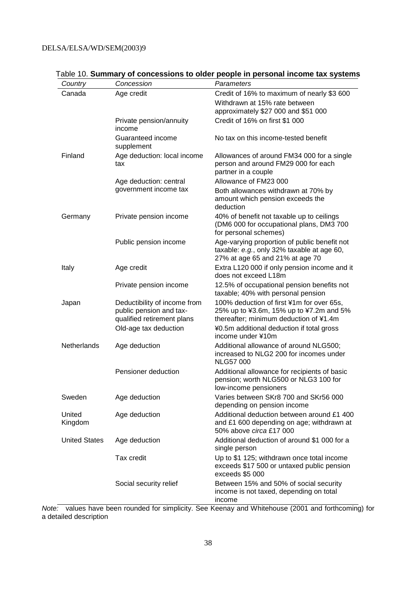| Country              | Concession                                                                            | Parameters                                                                                                                     |
|----------------------|---------------------------------------------------------------------------------------|--------------------------------------------------------------------------------------------------------------------------------|
| Canada               | Age credit                                                                            | Credit of 16% to maximum of nearly \$3 600<br>Withdrawn at 15% rate between<br>approximately \$27 000 and \$51 000             |
|                      | Private pension/annuity<br>income                                                     | Credit of 16% on first \$1 000                                                                                                 |
|                      | Guaranteed income<br>supplement                                                       | No tax on this income-tested benefit                                                                                           |
| Finland              | Age deduction: local income<br>tax                                                    | Allowances of around FM34 000 for a single<br>person and around FM29 000 for each<br>partner in a couple                       |
|                      | Age deduction: central                                                                | Allowance of FM23 000                                                                                                          |
|                      | government income tax                                                                 | Both allowances withdrawn at 70% by<br>amount which pension exceeds the<br>deduction                                           |
| Germany              | Private pension income                                                                | 40% of benefit not taxable up to ceilings<br>(DM6 000 for occupational plans, DM3 700<br>for personal schemes)                 |
|                      | Public pension income                                                                 | Age-varying proportion of public benefit not<br>taxable: e.g., only 32% taxable at age 60,<br>27% at age 65 and 21% at age 70  |
| Italy                | Age credit                                                                            | Extra L120 000 if only pension income and it<br>does not exceed L18m                                                           |
|                      | Private pension income                                                                | 12.5% of occupational pension benefits not<br>taxable; 40% with personal pension                                               |
| Japan                | Deductibility of income from<br>public pension and tax-<br>qualified retirement plans | 100% deduction of first ¥1m for over 65s,<br>25% up to ¥3.6m, 15% up to ¥7.2m and 5%<br>thereafter; minimum deduction of ¥1.4m |
|                      | Old-age tax deduction                                                                 | ¥0.5m additional deduction if total gross<br>income under ¥10m                                                                 |
| Netherlands          | Age deduction                                                                         | Additional allowance of around NLG500;<br>increased to NLG2 200 for incomes under<br><b>NLG57 000</b>                          |
|                      | Pensioner deduction                                                                   | Additional allowance for recipients of basic<br>pension; worth NLG500 or NLG3 100 for<br>low-income pensioners                 |
| Sweden               | Age deduction                                                                         | Varies between SKr8 700 and SKr56 000<br>depending on pension income                                                           |
| United<br>Kingdom    | Age deduction                                                                         | Additional deduction between around £1 400<br>and £1 600 depending on age; withdrawn at<br>50% above circa £17 000             |
| <b>United States</b> | Age deduction                                                                         | Additional deduction of around \$1 000 for a<br>single person                                                                  |
|                      | Tax credit                                                                            | Up to \$1 125; withdrawn once total income<br>exceeds \$17 500 or untaxed public pension<br>exceeds \$5 000                    |
|                      | Social security relief                                                                | Between 15% and 50% of social security<br>income is not taxed, depending on total<br>income                                    |

## Table 10. **Summary of concessions to older people in personal income tax systems**

Note: values have been rounded for simplicity. See Keenay and Whitehouse (2001 and forthcoming) for a detailed description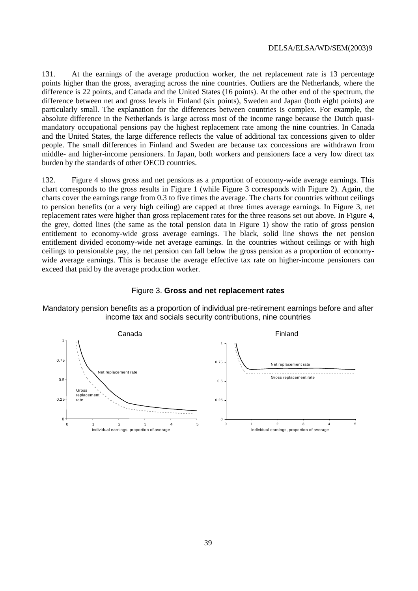131. At the earnings of the average production worker, the net replacement rate is 13 percentage points higher than the gross, averaging across the nine countries. Outliers are the Netherlands, where the difference is 22 points, and Canada and the United States (16 points). At the other end of the spectrum, the difference between net and gross levels in Finland (six points), Sweden and Japan (both eight points) are particularly small. The explanation for the differences between countries is complex. For example, the absolute difference in the Netherlands is large across most of the income range because the Dutch quasimandatory occupational pensions pay the highest replacement rate among the nine countries. In Canada and the United States, the large difference reflects the value of additional tax concessions given to older people. The small differences in Finland and Sweden are because tax concessions are withdrawn from middle- and higher-income pensioners. In Japan, both workers and pensioners face a very low direct tax burden by the standards of other OECD countries.

132. Figure 4 shows gross and net pensions as a proportion of economy-wide average earnings. This chart corresponds to the gross results in Figure 1 (while Figure 3 corresponds with Figure 2). Again, the charts cover the earnings range from 0.3 to five times the average. The charts for countries without ceilings to pension benefits (or a very high ceiling) are capped at three times average earnings. In Figure 3, net replacement rates were higher than gross replacement rates for the three reasons set out above. In Figure 4, the grey, dotted lines (the same as the total pension data in Figure 1) show the ratio of gross pension entitlement to economy-wide gross average earnings. The black, solid line shows the net pension entitlement divided economy-wide net average earnings. In the countries without ceilings or with high ceilings to pensionable pay, the net pension can fall below the gross pension as a proportion of economywide average earnings. This is because the average effective tax rate on higher-income pensioners can exceed that paid by the average production worker.

#### Figure 3. **Gross and net replacement rates**

Mandatory pension benefits as a proportion of individual pre-retirement earnings before and after income tax and socials security contributions, nine countries

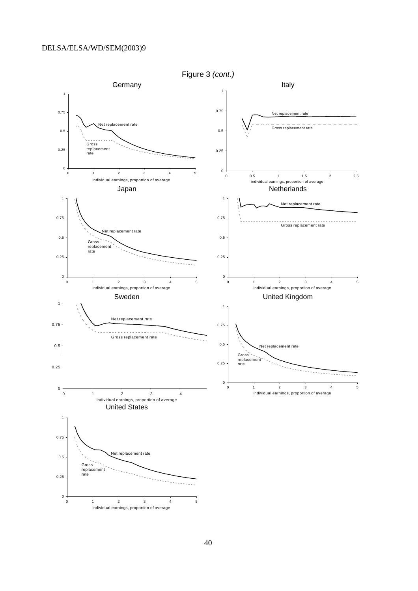

40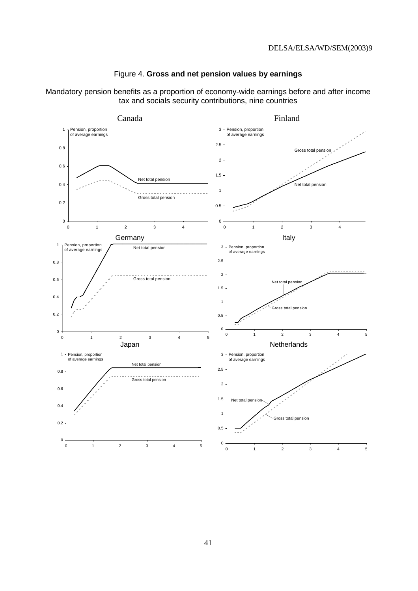



Mandatory pension benefits as a proportion of economy-wide earnings before and after income tax and socials security contributions, nine countries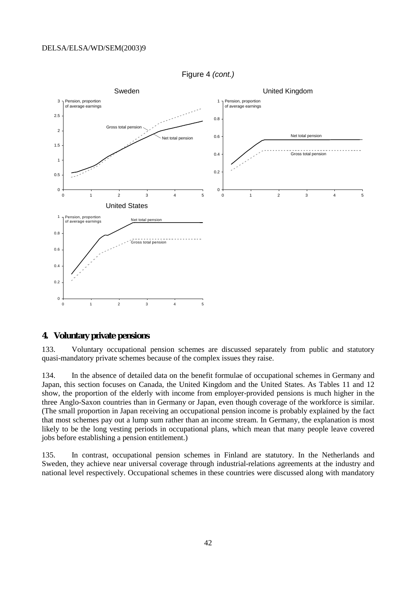

Figure 4 (cont.)

### **4. Voluntary private pensions**

133. Voluntary occupational pension schemes are discussed separately from public and statutory quasi-mandatory private schemes because of the complex issues they raise.

134. In the absence of detailed data on the benefit formulae of occupational schemes in Germany and Japan, this section focuses on Canada, the United Kingdom and the United States. As Tables 11 and 12 show, the proportion of the elderly with income from employer-provided pensions is much higher in the three Anglo-Saxon countries than in Germany or Japan, even though coverage of the workforce is similar. (The small proportion in Japan receiving an occupational pension income is probably explained by the fact that most schemes pay out a lump sum rather than an income stream. In Germany, the explanation is most likely to be the long vesting periods in occupational plans, which mean that many people leave covered jobs before establishing a pension entitlement.)

135. In contrast, occupational pension schemes in Finland are statutory. In the Netherlands and Sweden, they achieve near universal coverage through industrial-relations agreements at the industry and national level respectively. Occupational schemes in these countries were discussed along with mandatory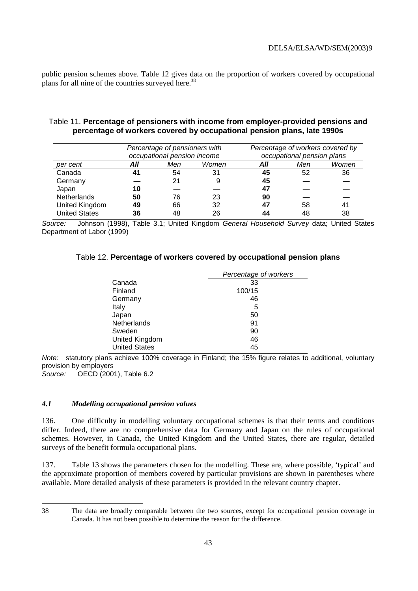public pension schemes above. Table 12 gives data on the proportion of workers covered by occupational plans for all nine of the countries surveyed here.<sup>38</sup>

### Table 11. **Percentage of pensioners with income from employer-provided pensions and percentage of workers covered by occupational pension plans, late 1990s**

|                      |     | Percentage of pensioners with |       |     | Percentage of workers covered by |       |  |
|----------------------|-----|-------------------------------|-------|-----|----------------------------------|-------|--|
|                      |     | occupational pension income   |       |     | occupational pension plans       |       |  |
| per cent             | All | Men                           | Women | All | Men                              | Women |  |
| Canada               | 41  | 54                            | 31    | 45  | 52                               | 36    |  |
| Germany              |     | 21                            |       | 45  |                                  |       |  |
| Japan                | 10  |                               |       | 47  |                                  |       |  |
| <b>Netherlands</b>   | 50  | 76                            | 23    | 90  |                                  |       |  |
| United Kingdom       | 49  | 66                            | 32    | 47  | 58                               | 41    |  |
| <b>United States</b> | 36  | 48                            | 26    |     | 48                               | 38    |  |

Source: Johnson (1998), Table 3.1; United Kingdom General Household Survey data; United States Department of Labor (1999)

### Table 12. **Percentage of workers covered by occupational pension plans**

|                      | Percentage of workers |
|----------------------|-----------------------|
| Canada               | 33                    |
| Finland              | 100/15                |
| Germany              | 46                    |
| Italy                | 5                     |
| Japan                | 50                    |
| <b>Netherlands</b>   | 91                    |
| Sweden               | 90                    |
| United Kingdom       | 46                    |
| <b>United States</b> | 45                    |
|                      |                       |

Note: statutory plans achieve 100% coverage in Finland; the 15% figure relates to additional, voluntary provision by employers Source: OECD (2001), Table 6.2

### *4.1 Modelling occupational pension values*

136. One difficulty in modelling voluntary occupational schemes is that their terms and conditions differ. Indeed, there are no comprehensive data for Germany and Japan on the rules of occupational schemes. However, in Canada, the United Kingdom and the United States, there are regular, detailed surveys of the benefit formula occupational plans.

137. Table 13 shows the parameters chosen for the modelling. These are, where possible, 'typical' and the approximate proportion of members covered by particular provisions are shown in parentheses where available. More detailed analysis of these parameters is provided in the relevant country chapter.

<sup>38</sup> The data are broadly comparable between the two sources, except for occupational pension coverage in Canada. It has not been possible to determine the reason for the difference.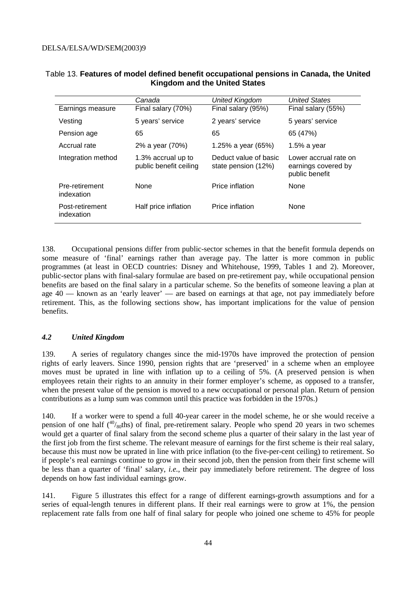|                               | Canada                                       | <b>United Kingdom</b>                        | <b>United States</b>                                           |
|-------------------------------|----------------------------------------------|----------------------------------------------|----------------------------------------------------------------|
| Earnings measure              | Final salary (70%)                           | Final salary (95%)                           | Final salary (55%)                                             |
| Vesting                       | 5 years' service                             | 2 years' service                             | 5 years' service                                               |
| Pension age                   | 65                                           | 65                                           | 65 (47%)                                                       |
| Accrual rate                  | 2% a year (70%)                              | 1.25% a year (65%)                           | 1.5% a year                                                    |
| Integration method            | 1.3% accrual up to<br>public benefit ceiling | Deduct value of basic<br>state pension (12%) | Lower accrual rate on<br>earnings covered by<br>public benefit |
| Pre-retirement<br>indexation  | None                                         | Price inflation                              | None                                                           |
| Post-retirement<br>indexation | Half price inflation                         | Price inflation                              | None                                                           |

### Table 13. **Features of model defined benefit occupational pensions in Canada, the United Kingdom and the United States**

138. Occupational pensions differ from public-sector schemes in that the benefit formula depends on some measure of 'final' earnings rather than average pay. The latter is more common in public programmes (at least in OECD countries: Disney and Whitehouse, 1999, Tables 1 and 2). Moreover, public-sector plans with final-salary formulae are based on pre-retirement pay, while occupational pension benefits are based on the final salary in a particular scheme. So the benefits of someone leaving a plan at age  $40$  — known as an 'early leaver' — are based on earnings at that age, not pay immediately before retirement. This, as the following sections show, has important implications for the value of pension benefits.

### *4.2 United Kingdom*

139. A series of regulatory changes since the mid-1970s have improved the protection of pension rights of early leavers. Since 1990, pension rights that are 'preserved' in a scheme when an employee moves must be uprated in line with inflation up to a ceiling of 5%. (A preserved pension is when employees retain their rights to an annuity in their former employer's scheme, as opposed to a transfer, when the present value of the pension is moved to a new occupational or personal plan. Return of pension contributions as a lump sum was common until this practice was forbidden in the 1970s.)

140. If a worker were to spend a full 40-year career in the model scheme, he or she would receive a pension of one half  $(40)$ <sub>80</sub>ths) of final, pre-retirement salary. People who spend 20 years in two schemes would get a quarter of final salary from the second scheme plus a quarter of their salary in the last year of the first job from the first scheme. The relevant measure of earnings for the first scheme is their real salary, because this must now be uprated in line with price inflation (to the five-per-cent ceiling) to retirement. So if people's real earnings continue to grow in their second job, then the pension from their first scheme will be less than a quarter of 'final' salary, *i.e.*, their pay immediately before retirement. The degree of loss depends on how fast individual earnings grow.

141. Figure 5 illustrates this effect for a range of different earnings-growth assumptions and for a series of equal-length tenures in different plans. If their real earnings were to grow at 1%, the pension replacement rate falls from one half of final salary for people who joined one scheme to 45% for people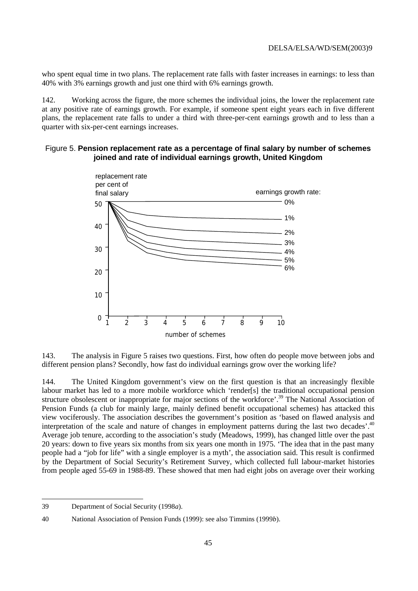who spent equal time in two plans. The replacement rate falls with faster increases in earnings: to less than 40% with 3% earnings growth and just one third with 6% earnings growth.

142. Working across the figure, the more schemes the individual joins, the lower the replacement rate at any positive rate of earnings growth. For example, if someone spent eight years each in five different plans, the replacement rate falls to under a third with three-per-cent earnings growth and to less than a quarter with six-per-cent earnings increases.

### Figure 5. **Pension replacement rate as a percentage of final salary by number of schemes joined and rate of individual earnings growth, United Kingdom**



143. The analysis in Figure 5 raises two questions. First, how often do people move between jobs and different pension plans? Secondly, how fast do individual earnings grow over the working life?

144. The United Kingdom government's view on the first question is that an increasingly flexible labour market has led to a more mobile workforce which 'render[s] the traditional occupational pension structure obsolescent or inappropriate for major sections of the workforce'.39 The National Association of Pension Funds (a club for mainly large, mainly defined benefit occupational schemes) has attacked this view vociferously. The association describes the government's position as 'based on flawed analysis and interpretation of the scale and nature of changes in employment patterns during the last two decades'.<sup>40</sup> Average job tenure, according to the association's study (Meadows, 1999), has changed little over the past 20 years: down to five years six months from six years one month in 1975. 'The idea that in the past many people had a "job for life" with a single employer is a myth', the association said. This result is confirmed by the Department of Social Security's Retirement Survey, which collected full labour-market histories from people aged 55-69 in 1988-89. These showed that men had eight jobs on average over their working

<sup>39</sup> Department of Social Security (1998*a*).

<sup>40</sup> National Association of Pension Funds (1999): see also Timmins (1999*b*).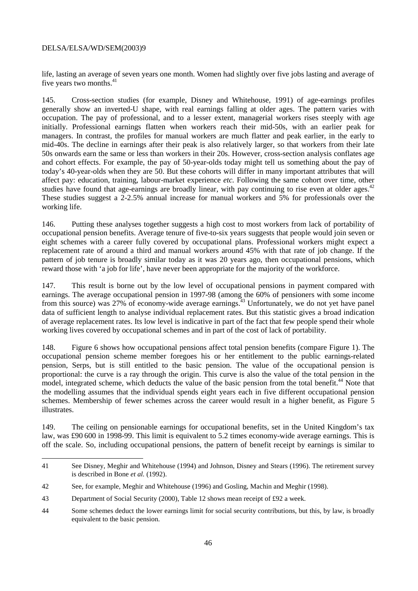$\overline{a}$ 

life, lasting an average of seven years one month. Women had slightly over five jobs lasting and average of five years two months.<sup>41</sup>

145. Cross-section studies (for example, Disney and Whitehouse, 1991) of age-earnings profiles generally show an inverted-U shape, with real earnings falling at older ages. The pattern varies with occupation. The pay of professional, and to a lesser extent, managerial workers rises steeply with age initially. Professional earnings flatten when workers reach their mid-50s, with an earlier peak for managers. In contrast, the profiles for manual workers are much flatter and peak earlier, in the early to mid-40s. The decline in earnings after their peak is also relatively larger, so that workers from their late 50s onwards earn the same or less than workers in their 20s. However, cross-section analysis conflates age and cohort effects. For example, the pay of 50-year-olds today might tell us something about the pay of today's 40-year-olds when they are 50. But these cohorts will differ in many important attributes that will affect pay: education, training, labour-market experience *etc.* Following the same cohort over time, other studies have found that age-earnings are broadly linear, with pay continuing to rise even at older ages.<sup>42</sup> These studies suggest a 2-2.5% annual increase for manual workers and 5% for professionals over the working life.

146. Putting these analyses together suggests a high cost to most workers from lack of portability of occupational pension benefits. Average tenure of five-to-six years suggests that people would join seven or eight schemes with a career fully covered by occupational plans. Professional workers might expect a replacement rate of around a third and manual workers around 45% with that rate of job change. If the pattern of job tenure is broadly similar today as it was 20 years ago, then occupational pensions, which reward those with 'a job for life', have never been appropriate for the majority of the workforce.

147. This result is borne out by the low level of occupational pensions in payment compared with earnings. The average occupational pension in 1997-98 (among the 60% of pensioners with some income from this source) was 27% of economy-wide average earnings.43 Unfortunately, we do not yet have panel data of sufficient length to analyse individual replacement rates. But this statistic gives a broad indication of average replacement rates. Its low level is indicative in part of the fact that few people spend their whole working lives covered by occupational schemes and in part of the cost of lack of portability.

148. Figure 6 shows how occupational pensions affect total pension benefits (compare Figure 1). The occupational pension scheme member foregoes his or her entitlement to the public earnings-related pension, Serps, but is still entitled to the basic pension. The value of the occupational pension is proportional: the curve is a ray through the origin. This curve is also the value of the total pension in the model, integrated scheme, which deducts the value of the basic pension from the total benefit.<sup>44</sup> Note that the modelling assumes that the individual spends eight years each in five different occupational pension schemes. Membership of fewer schemes across the career would result in a higher benefit, as Figure 5 illustrates.

149. The ceiling on pensionable earnings for occupational benefits, set in the United Kingdom's tax law, was £90 600 in 1998-99. This limit is equivalent to 5.2 times economy-wide average earnings. This is off the scale. So, including occupational pensions, the pattern of benefit receipt by earnings is similar to

<sup>41</sup> See Disney, Meghir and Whitehouse (1994) and Johnson, Disney and Stears (1996). The retirement survey is described in Bone *et al.* (1992).

<sup>42</sup> See, for example, Meghir and Whitehouse (1996) and Gosling, Machin and Meghir (1998).

<sup>43</sup> Department of Social Security (2000), Table 12 shows mean receipt of £92 a week.

<sup>44</sup> Some schemes deduct the lower earnings limit for social security contributions, but this, by law, is broadly equivalent to the basic pension.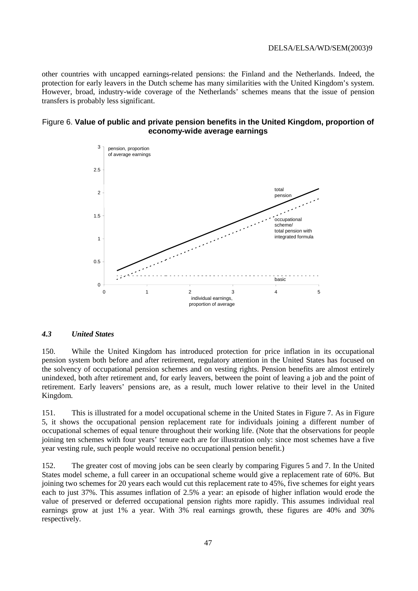other countries with uncapped earnings-related pensions: the Finland and the Netherlands. Indeed, the protection for early leavers in the Dutch scheme has many similarities with the United Kingdom's system. However, broad, industry-wide coverage of the Netherlands' schemes means that the issue of pension transfers is probably less significant.

#### Figure 6. **Value of public and private pension benefits in the United Kingdom, proportion of economy-wide average earnings**



### *4.3 United States*

150. While the United Kingdom has introduced protection for price inflation in its occupational pension system both before and after retirement, regulatory attention in the United States has focused on the solvency of occupational pension schemes and on vesting rights. Pension benefits are almost entirely unindexed, both after retirement and, for early leavers, between the point of leaving a job and the point of retirement. Early leavers' pensions are, as a result, much lower relative to their level in the United Kingdom.

151. This is illustrated for a model occupational scheme in the United States in Figure 7. As in Figure 5, it shows the occupational pension replacement rate for individuals joining a different number of occupational schemes of equal tenure throughout their working life. (Note that the observations for people joining ten schemes with four years' tenure each are for illustration only: since most schemes have a five year vesting rule, such people would receive no occupational pension benefit.)

152. The greater cost of moving jobs can be seen clearly by comparing Figures 5 and 7. In the United States model scheme, a full career in an occupational scheme would give a replacement rate of 60%. But joining two schemes for 20 years each would cut this replacement rate to 45%, five schemes for eight years each to just 37%. This assumes inflation of 2.5% a year: an episode of higher inflation would erode the value of preserved or deferred occupational pension rights more rapidly. This assumes individual real earnings grow at just 1% a year. With 3% real earnings growth, these figures are 40% and 30% respectively.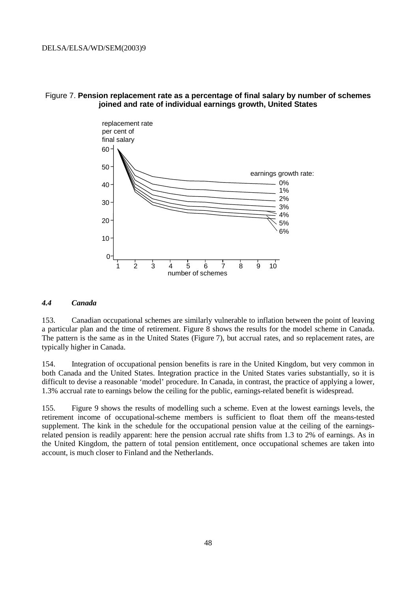

### Figure 7. **Pension replacement rate as a percentage of final salary by number of schemes joined and rate of individual earnings growth, United States**

#### *4.4 Canada*

153. Canadian occupational schemes are similarly vulnerable to inflation between the point of leaving a particular plan and the time of retirement. Figure 8 shows the results for the model scheme in Canada. The pattern is the same as in the United States (Figure 7), but accrual rates, and so replacement rates, are typically higher in Canada.

154. Integration of occupational pension benefits is rare in the United Kingdom, but very common in both Canada and the United States. Integration practice in the United States varies substantially, so it is difficult to devise a reasonable 'model' procedure. In Canada, in contrast, the practice of applying a lower, 1.3% accrual rate to earnings below the ceiling for the public, earnings-related benefit is widespread.

155. Figure 9 shows the results of modelling such a scheme. Even at the lowest earnings levels, the retirement income of occupational-scheme members is sufficient to float them off the means-tested supplement. The kink in the schedule for the occupational pension value at the ceiling of the earningsrelated pension is readily apparent: here the pension accrual rate shifts from 1.3 to 2% of earnings. As in the United Kingdom, the pattern of total pension entitlement, once occupational schemes are taken into account, is much closer to Finland and the Netherlands.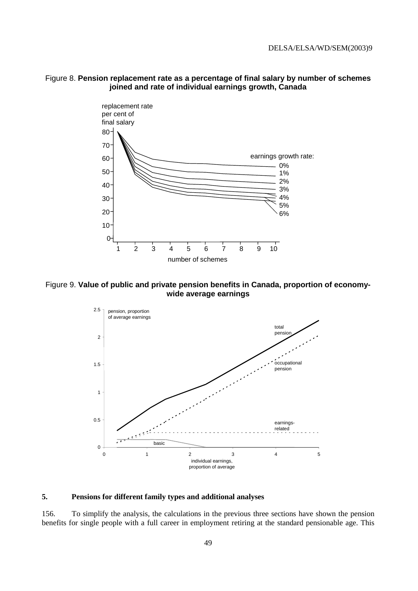



Figure 9. **Value of public and private pension benefits in Canada, proportion of economywide average earnings** 



#### **5. Pensions for different family types and additional analyses**

156. To simplify the analysis, the calculations in the previous three sections have shown the pension benefits for single people with a full career in employment retiring at the standard pensionable age. This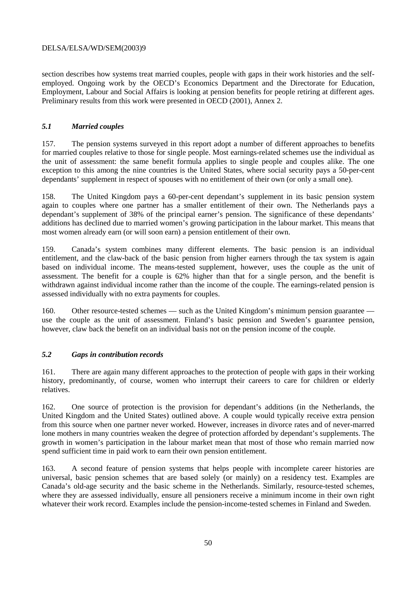section describes how systems treat married couples, people with gaps in their work histories and the selfemployed. Ongoing work by the OECD's Economics Department and the Directorate for Education, Employment, Labour and Social Affairs is looking at pension benefits for people retiring at different ages. Preliminary results from this work were presented in OECD (2001), Annex 2.

### *5.1 Married couples*

157. The pension systems surveyed in this report adopt a number of different approaches to benefits for married couples relative to those for single people. Most earnings-related schemes use the individual as the unit of assessment: the same benefit formula applies to single people and couples alike. The one exception to this among the nine countries is the United States, where social security pays a 50-per-cent dependants' supplement in respect of spouses with no entitlement of their own (or only a small one).

158. The United Kingdom pays a 60-per-cent dependant's supplement in its basic pension system again to couples where one partner has a smaller entitlement of their own. The Netherlands pays a dependant's supplement of 38% of the principal earner's pension. The significance of these dependants' additions has declined due to married women's growing participation in the labour market. This means that most women already earn (or will soon earn) a pension entitlement of their own.

159. Canada's system combines many different elements. The basic pension is an individual entitlement, and the claw-back of the basic pension from higher earners through the tax system is again based on individual income. The means-tested supplement, however, uses the couple as the unit of assessment. The benefit for a couple is 62% higher than that for a single person, and the benefit is withdrawn against individual income rather than the income of the couple. The earnings-related pension is assessed individually with no extra payments for couples.

160. Other resource-tested schemes — such as the United Kingdom's minimum pension guarantee use the couple as the unit of assessment. Finland's basic pension and Sweden's guarantee pension, however, claw back the benefit on an individual basis not on the pension income of the couple.

### *5.2 Gaps in contribution records*

161. There are again many different approaches to the protection of people with gaps in their working history, predominantly, of course, women who interrupt their careers to care for children or elderly relatives.

162. One source of protection is the provision for dependant's additions (in the Netherlands, the United Kingdom and the United States) outlined above. A couple would typically receive extra pension from this source when one partner never worked. However, increases in divorce rates and of never-marred lone mothers in many countries weaken the degree of protection afforded by dependant's supplements. The growth in women's participation in the labour market mean that most of those who remain married now spend sufficient time in paid work to earn their own pension entitlement.

163. A second feature of pension systems that helps people with incomplete career histories are universal, basic pension schemes that are based solely (or mainly) on a residency test. Examples are Canada's old-age security and the basic scheme in the Netherlands. Similarly, resource-tested schemes, where they are assessed individually, ensure all pensioners receive a minimum income in their own right whatever their work record. Examples include the pension-income-tested schemes in Finland and Sweden.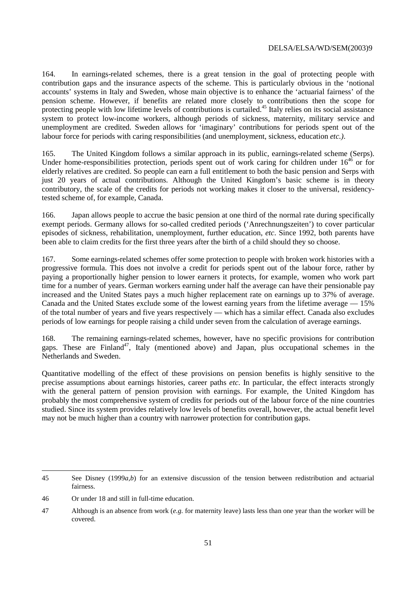164. In earnings-related schemes, there is a great tension in the goal of protecting people with contribution gaps and the insurance aspects of the scheme. This is particularly obvious in the 'notional accounts' systems in Italy and Sweden, whose main objective is to enhance the 'actuarial fairness' of the pension scheme. However, if benefits are related more closely to contributions then the scope for protecting people with low lifetime levels of contributions is curtailed.<sup>45</sup> Italy relies on its social assistance system to protect low-income workers, although periods of sickness, maternity, military service and unemployment are credited. Sweden allows for 'imaginary' contributions for periods spent out of the labour force for periods with caring responsibilities (and unemployment, sickness, education *etc.)*.

165. The United Kingdom follows a similar approach in its public, earnings-related scheme (Serps). Under home-responsibilities protection, periods spent out of work caring for children under  $16^{46}$  or for elderly relatives are credited. So people can earn a full entitlement to both the basic pension and Serps with just 20 years of actual contributions. Although the United Kingdom's basic scheme is in theory contributory, the scale of the credits for periods not working makes it closer to the universal, residencytested scheme of, for example, Canada.

166. Japan allows people to accrue the basic pension at one third of the normal rate during specifically exempt periods. Germany allows for so-called credited periods ('Anrechnungszeiten') to cover particular episodes of sickness, rehabilitation, unemployment, further education, *etc*. Since 1992, both parents have been able to claim credits for the first three years after the birth of a child should they so choose.

167. Some earnings-related schemes offer some protection to people with broken work histories with a progressive formula. This does not involve a credit for periods spent out of the labour force, rather by paying a proportionally higher pension to lower earners it protects, for example, women who work part time for a number of years. German workers earning under half the average can have their pensionable pay increased and the United States pays a much higher replacement rate on earnings up to 37% of average. Canada and the United States exclude some of the lowest earning years from the lifetime average — 15% of the total number of years and five years respectively — which has a similar effect. Canada also excludes periods of low earnings for people raising a child under seven from the calculation of average earnings.

168. The remaining earnings-related schemes, however, have no specific provisions for contribution gaps. These are Finland<sup>47</sup>, Italy (mentioned above) and Japan, plus occupational schemes in the Netherlands and Sweden.

Quantitative modelling of the effect of these provisions on pension benefits is highly sensitive to the precise assumptions about earnings histories, career paths *etc*. In particular, the effect interacts strongly with the general pattern of pension provision with earnings. For example, the United Kingdom has probably the most comprehensive system of credits for periods out of the labour force of the nine countries studied. Since its system provides relatively low levels of benefits overall, however, the actual benefit level may not be much higher than a country with narrower protection for contribution gaps.

 $\overline{a}$ 45 See Disney (1999*a*,*b*) for an extensive discussion of the tension between redistribution and actuarial fairness.

<sup>46</sup> Or under 18 and still in full-time education.

<sup>47</sup> Although is an absence from work (*e.g.* for maternity leave) lasts less than one year than the worker will be covered.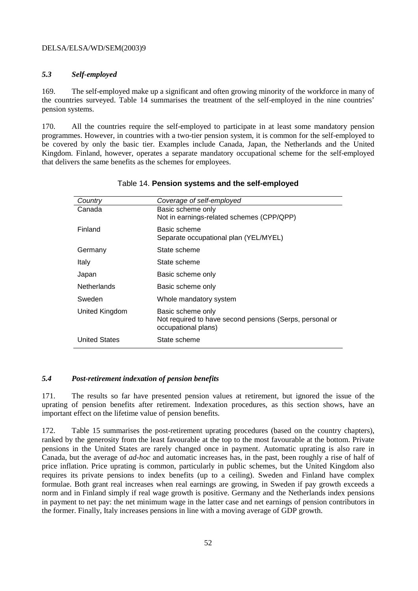### *5.3 Self-employed*

169. The self-employed make up a significant and often growing minority of the workforce in many of the countries surveyed. Table 14 summarises the treatment of the self-employed in the nine countries' pension systems.

170. All the countries require the self-employed to participate in at least some mandatory pension programmes. However, in countries with a two-tier pension system, it is common for the self-employed to be covered by only the basic tier. Examples include Canada, Japan, the Netherlands and the United Kingdom. Finland, however, operates a separate mandatory occupational scheme for the self-employed that delivers the same benefits as the schemes for employees.

| Country              | Coverage of self-employed                                                       |
|----------------------|---------------------------------------------------------------------------------|
| Canada               | Basic scheme only                                                               |
|                      | Not in earnings-related schemes (CPP/QPP)                                       |
| Finland              | Basic scheme                                                                    |
|                      | Separate occupational plan (YEL/MYEL)                                           |
| Germany              | State scheme                                                                    |
| Italy                | State scheme                                                                    |
| Japan                | Basic scheme only                                                               |
| Netherlands          | Basic scheme only                                                               |
| Sweden               | Whole mandatory system                                                          |
| United Kingdom       | Basic scheme only                                                               |
|                      | Not required to have second pensions (Serps, personal or<br>occupational plans) |
| <b>United States</b> | State scheme                                                                    |

### Table 14. **Pension systems and the self-employed**

### *5.4 Post-retirement indexation of pension benefits*

171. The results so far have presented pension values at retirement, but ignored the issue of the uprating of pension benefits after retirement. Indexation procedures, as this section shows, have an important effect on the lifetime value of pension benefits.

172. Table 15 summarises the post-retirement uprating procedures (based on the country chapters), ranked by the generosity from the least favourable at the top to the most favourable at the bottom. Private pensions in the United States are rarely changed once in payment. Automatic uprating is also rare in Canada, but the average of *ad-hoc* and automatic increases has, in the past, been roughly a rise of half of price inflation. Price uprating is common, particularly in public schemes, but the United Kingdom also requires its private pensions to index benefits (up to a ceiling). Sweden and Finland have complex formulae. Both grant real increases when real earnings are growing, in Sweden if pay growth exceeds a norm and in Finland simply if real wage growth is positive. Germany and the Netherlands index pensions in payment to net pay: the net minimum wage in the latter case and net earnings of pension contributors in the former. Finally, Italy increases pensions in line with a moving average of GDP growth.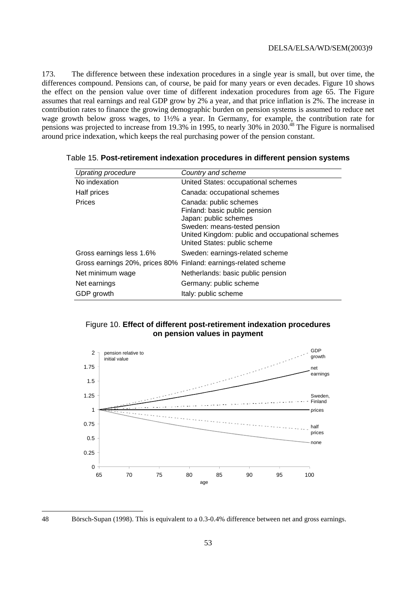173. The difference between these indexation procedures in a single year is small, but over time, the differences compound. Pensions can, of course, be paid for many years or even decades. Figure 10 shows the effect on the pension value over time of different indexation procedures from age 65. The Figure assumes that real earnings and real GDP grow by 2% a year, and that price inflation is 2%. The increase in contribution rates to finance the growing demographic burden on pension systems is assumed to reduce net wage growth below gross wages, to 1½% a year. In Germany, for example, the contribution rate for pensions was projected to increase from 19.3% in 1995, to nearly 30% in 2030.48 The Figure is normalised around price indexation, which keeps the real purchasing power of the pension constant.

| <b>Uprating procedure</b> | Country and scheme                                                                                                                                                                                  |
|---------------------------|-----------------------------------------------------------------------------------------------------------------------------------------------------------------------------------------------------|
| No indexation             | United States: occupational schemes                                                                                                                                                                 |
| Half prices               | Canada: occupational schemes                                                                                                                                                                        |
| Prices                    | Canada: public schemes<br>Finland: basic public pension<br>Japan: public schemes<br>Sweden: means-tested pension<br>United Kingdom: public and occupational schemes<br>United States: public scheme |
| Gross earnings less 1.6%  | Sweden: earnings-related scheme                                                                                                                                                                     |
|                           | Gross earnings 20%, prices 80% Finland: earnings-related scheme                                                                                                                                     |
| Net minimum wage          | Netherlands: basic public pension                                                                                                                                                                   |
| Net earnings              | Germany: public scheme                                                                                                                                                                              |
| GDP growth                | Italy: public scheme                                                                                                                                                                                |

Table 15. **Post-retirement indexation procedures in different pension systems** 

### Figure 10. **Effect of different post-retirement indexation procedures on pension values in payment**



<sup>48</sup> Börsch-Supan (1998). This is equivalent to a 0.3-0.4% difference between net and gross earnings.

 $\overline{a}$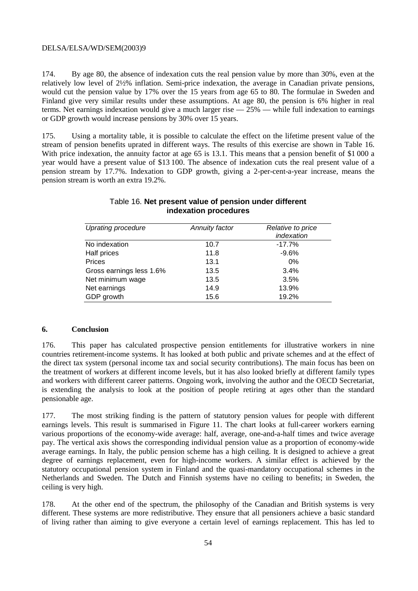174. By age 80, the absence of indexation cuts the real pension value by more than 30%, even at the relatively low level of 2½% inflation. Semi-price indexation, the average in Canadian private pensions, would cut the pension value by 17% over the 15 years from age 65 to 80. The formulae in Sweden and Finland give very similar results under these assumptions. At age 80, the pension is 6% higher in real terms. Net earnings indexation would give a much larger rise  $-25%$  — while full indexation to earnings or GDP growth would increase pensions by 30% over 15 years.

175. Using a mortality table, it is possible to calculate the effect on the lifetime present value of the stream of pension benefits uprated in different ways. The results of this exercise are shown in Table 16. With price indexation, the annuity factor at age 65 is 13.1. This means that a pension benefit of \$1 000 a year would have a present value of \$13 100. The absence of indexation cuts the real present value of a pension stream by 17.7%. Indexation to GDP growth, giving a 2-per-cent-a-year increase, means the pension stream is worth an extra 19.2%.

| <b>Uprating procedure</b> | <b>Annuity factor</b> | Relative to price<br>indexation |
|---------------------------|-----------------------|---------------------------------|
| No indexation             | 10.7                  | $-17.7%$                        |
| Half prices               | 11.8                  | $-9.6%$                         |
| Prices                    | 13.1                  | $0\%$                           |
| Gross earnings less 1.6%  | 13.5                  | 3.4%                            |
| Net minimum wage          | 13.5                  | 3.5%                            |
| Net earnings              | 14.9                  | 13.9%                           |
| GDP growth                | 15.6                  | 19.2%                           |

### Table 16. **Net present value of pension under different indexation procedures**

#### **6. Conclusion**

176. This paper has calculated prospective pension entitlements for illustrative workers in nine countries retirement-income systems. It has looked at both public and private schemes and at the effect of the direct tax system (personal income tax and social security contributions). The main focus has been on the treatment of workers at different income levels, but it has also looked briefly at different family types and workers with different career patterns. Ongoing work, involving the author and the OECD Secretariat, is extending the analysis to look at the position of people retiring at ages other than the standard pensionable age.

177. The most striking finding is the pattern of statutory pension values for people with different earnings levels. This result is summarised in Figure 11. The chart looks at full-career workers earning various proportions of the economy-wide average: half, average, one-and-a-half times and twice average pay. The vertical axis shows the corresponding individual pension value as a proportion of economy-wide average earnings. In Italy, the public pension scheme has a high ceiling. It is designed to achieve a great degree of earnings replacement, even for high-income workers. A similar effect is achieved by the statutory occupational pension system in Finland and the quasi-mandatory occupational schemes in the Netherlands and Sweden. The Dutch and Finnish systems have no ceiling to benefits; in Sweden, the ceiling is very high.

178. At the other end of the spectrum, the philosophy of the Canadian and British systems is very different. These systems are more redistributive. They ensure that all pensioners achieve a basic standard of living rather than aiming to give everyone a certain level of earnings replacement. This has led to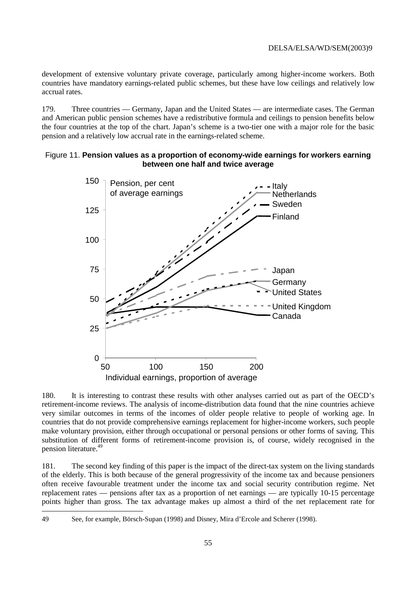development of extensive voluntary private coverage, particularly among higher-income workers. Both countries have mandatory earnings-related public schemes, but these have low ceilings and relatively low accrual rates.

179. Three countries — Germany, Japan and the United States — are intermediate cases. The German and American public pension schemes have a redistributive formula and ceilings to pension benefits below the four countries at the top of the chart. Japan's scheme is a two-tier one with a major role for the basic pension and a relatively low accrual rate in the earnings-related scheme.

### Figure 11. **Pension values as a proportion of economy-wide earnings for workers earning between one half and twice average**



180. It is interesting to contrast these results with other analyses carried out as part of the OECD's retirement-income reviews. The analysis of income-distribution data found that the nine countries achieve very similar outcomes in terms of the incomes of older people relative to people of working age. In countries that do not provide comprehensive earnings replacement for higher-income workers, such people make voluntary provision, either through occupational or personal pensions or other forms of saving. This substitution of different forms of retirement-income provision is, of course, widely recognised in the pension literature.49

181. The second key finding of this paper is the impact of the direct-tax system on the living standards of the elderly. This is both because of the general progressivity of the income tax and because pensioners often receive favourable treatment under the income tax and social security contribution regime. Net replacement rates — pensions after tax as a proportion of net earnings — are typically 10-15 percentage points higher than gross. The tax advantage makes up almost a third of the net replacement rate for

 $\overline{a}$ 

<sup>49</sup> See, for example, Börsch-Supan (1998) and Disney, Mira d'Ercole and Scherer (1998).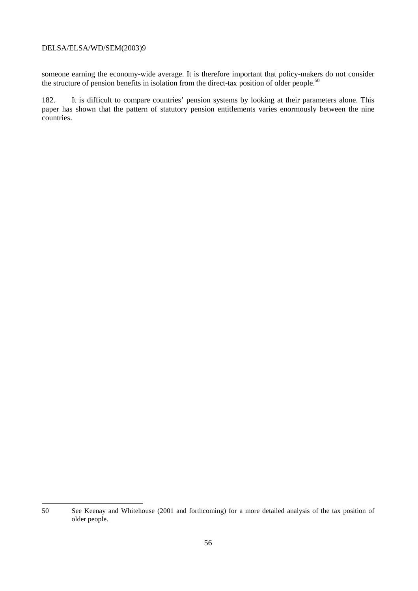someone earning the economy-wide average. It is therefore important that policy-makers do not consider the structure of pension benefits in isolation from the direct-tax position of older people.<sup>50</sup>

182. It is difficult to compare countries' pension systems by looking at their parameters alone. This paper has shown that the pattern of statutory pension entitlements varies enormously between the nine countries.

 50 See Keenay and Whitehouse (2001 and forthcoming) for a more detailed analysis of the tax position of older people.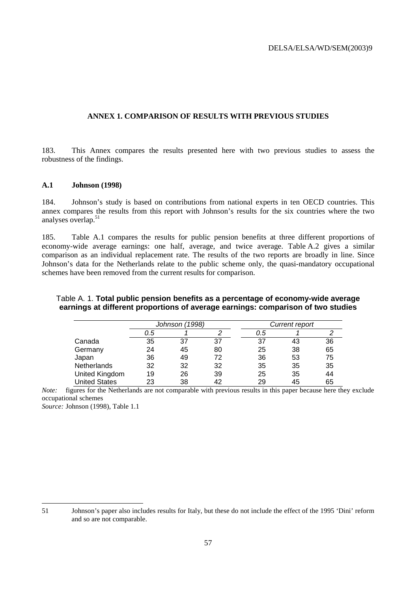#### **ANNEX 1. COMPARISON OF RESULTS WITH PREVIOUS STUDIES**

183. This Annex compares the results presented here with two previous studies to assess the robustness of the findings.

#### **A.1 Johnson (1998)**

184. Johnson's study is based on contributions from national experts in ten OECD countries. This annex compares the results from this report with Johnson's results for the six countries where the two analyses overlap.<sup>51</sup>

185. Table A.1 compares the results for public pension benefits at three different proportions of economy-wide average earnings: one half, average, and twice average. Table A.2 gives a similar comparison as an individual replacement rate. The results of the two reports are broadly in line. Since Johnson's data for the Netherlands relate to the public scheme only, the quasi-mandatory occupational schemes have been removed from the current results for comparison.

### Table A. 1. **Total public pension benefits as a percentage of economy-wide average earnings at different proportions of average earnings: comparison of two studies**

|                | Johnson (1998) |    |    | Current report |    |    |
|----------------|----------------|----|----|----------------|----|----|
|                | 0.5            |    | ⌒  | 0.5            |    |    |
| Canada         | 35             | 37 | 37 | 37             | 43 | 36 |
| Germany        | 24             | 45 | 80 | 25             | 38 | 65 |
| Japan          | 36             | 49 | 72 | 36             | 53 | 75 |
| Netherlands    | 32             | 32 | 32 | 35             | 35 | 35 |
| United Kingdom | 19             | 26 | 39 | 25             | 35 | 44 |
| United States  | 23             | 38 | 42 | 29             | 45 | 65 |

*Note:* figures for the Netherlands are not comparable with previous results in this paper because here they exclude occupational schemes

*Source:* Johnson (1998), Table 1.1

 51 Johnson's paper also includes results for Italy, but these do not include the effect of the 1995 'Dini' reform and so are not comparable.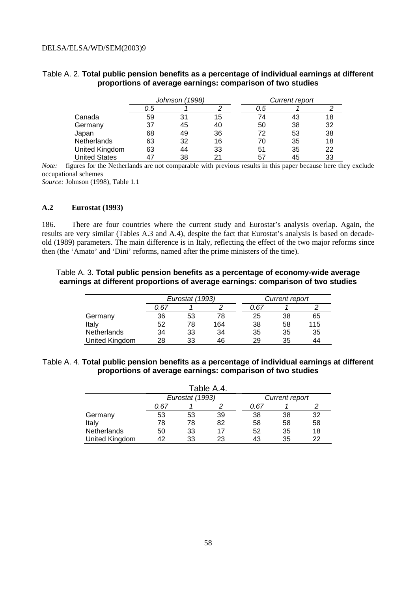|                | Johnson (1998) |    |    |     | Current report |    |
|----------------|----------------|----|----|-----|----------------|----|
|                | 0.5            |    |    | 0.5 |                |    |
| Canada         | 59             | 31 | 15 | 74  | 43             | 18 |
| Germany        | 37             | 45 | 40 | 50  | 38             | 32 |
| Japan          | 68             | 49 | 36 | 72  | 53             | 38 |
| Netherlands    | 63             | 32 | 16 | 70  | 35             | 18 |
| United Kingdom | 63             | 44 | 33 | 51  | 35             | 22 |
| United States  | 47             | 38 | 21 | 57  | 45             | 33 |

### Table A. 2. **Total public pension benefits as a percentage of individual earnings at different proportions of average earnings: comparison of two studies**

*Note:* figures for the Netherlands are not comparable with previous results in this paper because here they exclude occupational schemes

*Source:* Johnson (1998), Table 1.1

#### **A.2 Eurostat (1993)**

186. There are four countries where the current study and Eurostat's analysis overlap. Again, the results are very similar (Tables A.3 and A.4), despite the fact that Eurostat's analysis is based on decadeold (1989) parameters. The main difference is in Italy, reflecting the effect of the two major reforms since then (the 'Amato' and 'Dini' reforms, named after the prime ministers of the time).

### Table A. 3. **Total public pension benefits as a percentage of economy-wide average earnings at different proportions of average earnings: comparison of two studies**

|                    | Eurostat (1993) |    |     |      | Current report |     |
|--------------------|-----------------|----|-----|------|----------------|-----|
|                    | 0.67            |    |     | 0.67 |                |     |
| Germany            | 36              | 53 | 78  | 25   | 38             | 65  |
| Italy              | 52              | 78 | 164 | 38   | 58             | 115 |
| <b>Netherlands</b> | 34              | 33 | 34  | 35   | 35             | 35  |
| United Kingdom     | 28              | 33 | 46  | 29   | 35             | 44  |

### Table A. 4. **Total public pension benefits as a percentage of individual earnings at different proportions of average earnings: comparison of two studies**

| Table A.4.         |                 |    |    |                |    |    |
|--------------------|-----------------|----|----|----------------|----|----|
|                    | Eurostat (1993) |    |    | Current report |    |    |
|                    | 0.67            |    |    | 0.67           |    |    |
| Germany            | 53              | 53 | 39 | 38             | 38 | 32 |
| Italy              | 78              | 78 | 82 | 58             | 58 | 58 |
| <b>Netherlands</b> | 50              | 33 | 17 | 52             | 35 | 18 |
| United Kingdom     |                 | 33 | 23 | 43             | 35 | 22 |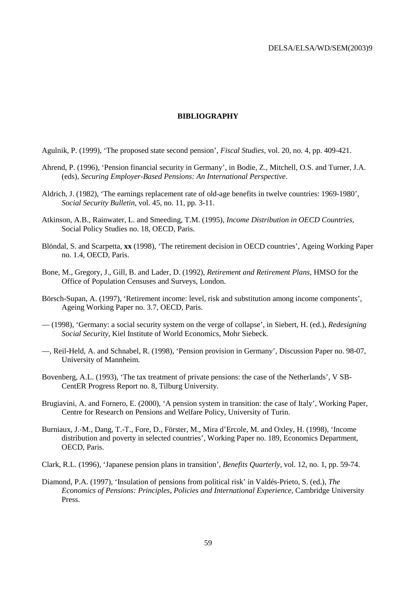#### **BIBLIOGRAPHY**

Agulnik, P. (1999), 'The proposed state second pension', *Fiscal Studies*, vol. 20, no. 4, pp. 409-421.

- Ahrend, P. (1996), 'Pension financial security in Germany', in Bodie, Z., Mitchell, O.S. and Turner, J.A. (eds), *Securing Employer-Based Pensions: An International Perspective*.
- Aldrich, J. (1982), 'The earnings replacement rate of old-age benefits in twelve countries: 1969-1980', *Social Security Bulletin*, vol. 45, no. 11, pp. 3-11.
- Atkinson, A.B., Rainwater, L. and Smeeding, T.M. (1995), *Income Distribution in OECD Countries*, Social Policy Studies no. 18, OECD, Paris.
- Blöndal, S. and Scarpetta, **xx** (1998), 'The retirement decision in OECD countries', Ageing Working Paper no. 1.4, OECD, Paris.
- Bone, M., Gregory, J., Gill, B. and Lader, D. (1992), *Retirement and Retirement Plans*, HMSO for the Office of Population Censuses and Surveys, London.
- Börsch-Supan, A. (1997), 'Retirement income: level, risk and substitution among income components', Ageing Working Paper no. 3.7, OECD, Paris.
- (1998), 'Germany: a social security system on the verge of collapse', in Siebert, H. (ed.), *Redesigning Social Security*, Kiel Institute of World Economics, Mohr Siebeck.
- —, Reil-Held, A. and Schnabel, R. (1998), 'Pension provision in Germany', Discussion Paper no. 98-07, University of Mannheim.
- Bovenberg, A.L. (1993), 'The tax treatment of private pensions: the case of the Netherlands', V SB-CentER Progress Report no. 8, Tilburg University.
- Brugiavini, A. and Fornero, E. (2000), 'A pension system in transition: the case of Italy', Working Paper, Centre for Research on Pensions and Welfare Policy, University of Turin.
- Burniaux, J.-M., Dang, T.-T., Fore, D., Förster, M., Mira d'Ercole, M. and Oxley, H. (1998), 'Income distribution and poverty in selected countries', Working Paper no. 189, Economics Department, OECD, Paris.
- Clark, R.L. (1996), 'Japanese pension plans in transition', *Benefits Quarterly*, vol. 12, no. 1, pp. 59-74.
- Diamond, P.A. (1997), 'Insulation of pensions from political risk' in Valdés-Prieto, S. (ed.), *The Economics of Pensions: Principles, Policies and International Experience*, Cambridge University Press.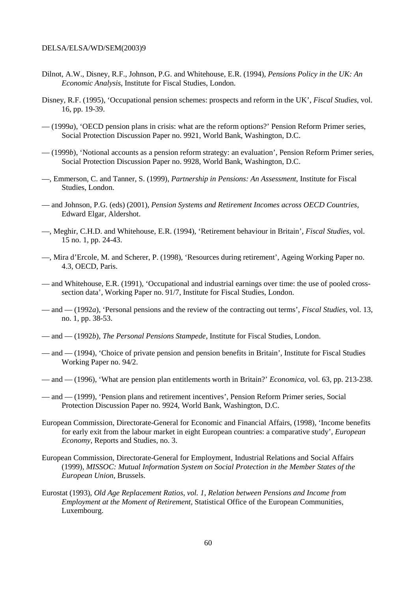- Dilnot, A.W., Disney, R.F., Johnson, P.G. and Whitehouse, E.R. (1994), *Pensions Policy in the UK: An Economic Analysis*, Institute for Fiscal Studies, London.
- Disney, R.F. (1995), 'Occupational pension schemes: prospects and reform in the UK', *Fiscal Studies*, vol. 16, pp. 19-39.
- (1999*a*), 'OECD pension plans in crisis: what are the reform options?' Pension Reform Primer series, Social Protection Discussion Paper no. 9921, World Bank, Washington, D.C.
- (1999*b*), 'Notional accounts as a pension reform strategy: an evaluation', Pension Reform Primer series, Social Protection Discussion Paper no. 9928, World Bank, Washington, D.C.
- —, Emmerson, C. and Tanner, S. (1999), *Partnership in Pensions: An Assessment*, Institute for Fiscal Studies, London.
- and Johnson, P.G. (eds) (2001), *Pension Systems and Retirement Incomes across OECD Countries*, Edward Elgar, Aldershot.
- —, Meghir, C.H.D. and Whitehouse, E.R. (1994), 'Retirement behaviour in Britain', *Fiscal Studies*, vol. 15 no. 1, pp. 24-43.
- —, Mira d'Ercole, M. and Scherer, P. (1998), 'Resources during retirement', Ageing Working Paper no. 4.3, OECD, Paris.
- and Whitehouse, E.R. (1991), 'Occupational and industrial earnings over time: the use of pooled crosssection data', Working Paper no. 91/7, Institute for Fiscal Studies, London.
- and (1992*a*), 'Personal pensions and the review of the contracting out terms', *Fiscal Studies*, vol. 13, no. 1, pp. 38-53.
- and (1992*b*), *The Personal Pensions Stampede*, Institute for Fiscal Studies, London.
- and (1994), 'Choice of private pension and pension benefits in Britain', Institute for Fiscal Studies Working Paper no. 94/2.
- and (1996), 'What are pension plan entitlements worth in Britain?' *Economica*, vol. 63, pp. 213-238.
- and (1999), 'Pension plans and retirement incentives', Pension Reform Primer series, Social Protection Discussion Paper no. 9924, World Bank, Washington, D.C.
- European Commission, Directorate-General for Economic and Financial Affairs, (1998), 'Income benefits for early exit from the labour market in eight European countries: a comparative study', *European Economy*, Reports and Studies, no. 3.
- European Commission, Directorate-General for Employment, Industrial Relations and Social Affairs (1999), *MISSOC: Mutual Information System on Social Protection in the Member States of the European Union*, Brussels.
- Eurostat (1993), *Old Age Replacement Ratios, vol. 1, Relation between Pensions and Income from Employment at the Moment of Retirement*, Statistical Office of the European Communities, Luxembourg.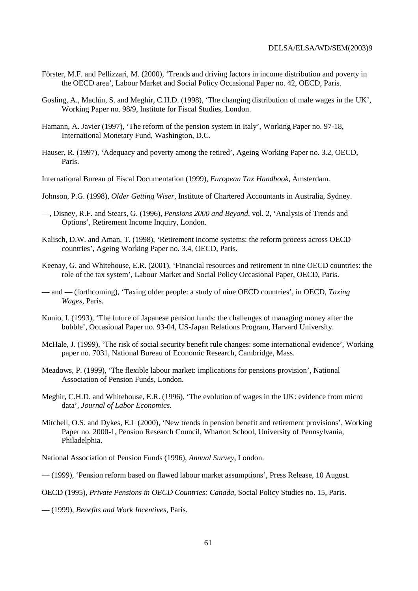- Förster, M.F. and Pellizzari, M. (2000), 'Trends and driving factors in income distribution and poverty in the OECD area', Labour Market and Social Policy Occasional Paper no. 42, OECD, Paris.
- Gosling, A., Machin, S. and Meghir, C.H.D. (1998), 'The changing distribution of male wages in the UK', Working Paper no. 98/9, Institute for Fiscal Studies, London.
- Hamann, A. Javier (1997), 'The reform of the pension system in Italy', Working Paper no. 97-18, International Monetary Fund, Washington, D.C.
- Hauser, R. (1997), 'Adequacy and poverty among the retired', Ageing Working Paper no. 3.2, OECD, Paris.
- International Bureau of Fiscal Documentation (1999), *European Tax Handbook*, Amsterdam.
- Johnson, P.G. (1998), *Older Getting Wiser*, Institute of Chartered Accountants in Australia, Sydney.
- —, Disney, R.F. and Stears, G. (1996), *Pensions 2000 and Beyond*, vol. 2, 'Analysis of Trends and Options', Retirement Income Inquiry, London.
- Kalisch, D.W. and Aman, T. (1998), 'Retirement income systems: the reform process across OECD countries', Ageing Working Paper no. 3.4, OECD, Paris.
- Keenay, G. and Whitehouse, E.R. (2001), 'Financial resources and retirement in nine OECD countries: the role of the tax system', Labour Market and Social Policy Occasional Paper, OECD, Paris.
- and (forthcoming), 'Taxing older people: a study of nine OECD countries', in OECD, *Taxing Wages*, Paris.
- Kunio, I. (1993), 'The future of Japanese pension funds: the challenges of managing money after the bubble', Occasional Paper no. 93-04, US-Japan Relations Program, Harvard University.
- McHale, J. (1999), 'The risk of social security benefit rule changes: some international evidence', Working paper no. 7031, National Bureau of Economic Research, Cambridge, Mass.
- Meadows, P. (1999), 'The flexible labour market: implications for pensions provision', National Association of Pension Funds, London.
- Meghir, C.H.D. and Whitehouse, E.R. (1996), 'The evolution of wages in the UK: evidence from micro data', *Journal of Labor Economics*.
- Mitchell, O.S. and Dykes, E.L (2000), 'New trends in pension benefit and retirement provisions', Working Paper no. 2000-1, Pension Research Council, Wharton School, University of Pennsylvania, Philadelphia.

National Association of Pension Funds (1996), *Annual Survey*, London.

— (1999), 'Pension reform based on flawed labour market assumptions', Press Release, 10 August.

OECD (1995), *Private Pensions in OECD Countries: Canada*, Social Policy Studies no. 15, Paris.

— (1999), *Benefits and Work Incentives*, Paris.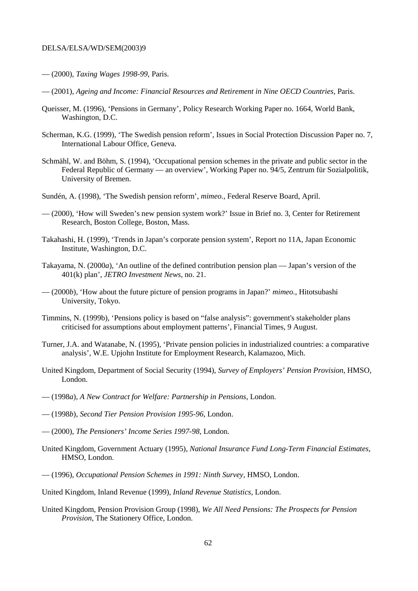- (2000), *Taxing Wages 1998-99*, Paris.
- (2001), *Ageing and Income: Financial Resources and Retirement in Nine OECD Countries*, Paris.
- Queisser, M. (1996), 'Pensions in Germany', Policy Research Working Paper no. 1664, World Bank, Washington, D.C.
- Scherman, K.G. (1999), 'The Swedish pension reform', Issues in Social Protection Discussion Paper no. 7, International Labour Office, Geneva.
- Schmähl, W. and Böhm, S. (1994), 'Occupational pension schemes in the private and public sector in the Federal Republic of Germany — an overview', Working Paper no. 94/5, Zentrum für Sozialpolitik, University of Bremen.
- Sundén, A. (1998), 'The Swedish pension reform', *mimeo.*, Federal Reserve Board, April.
- (2000), 'How will Sweden's new pension system work?' Issue in Brief no. 3, Center for Retirement Research, Boston College, Boston, Mass.
- Takahashi, H. (1999), 'Trends in Japan's corporate pension system', Report no 11A, Japan Economic Institute, Washington, D.C.
- Takayama, N. (2000*a*), 'An outline of the defined contribution pension plan Japan's version of the 401(k) plan', *JETRO Investment News*, no. 21.
- (2000*b*), 'How about the future picture of pension programs in Japan?' *mimeo.*, Hitotsubashi University, Tokyo.
- Timmins, N. (1999b), 'Pensions policy is based on "false analysis": government's stakeholder plans criticised for assumptions about employment patterns', Financial Times, 9 August.
- Turner, J.A. and Watanabe, N. (1995), 'Private pension policies in industrialized countries: a comparative analysis', W.E. Upjohn Institute for Employment Research, Kalamazoo, Mich.
- United Kingdom, Department of Social Security (1994), *Survey of Employers' Pension Provision*, HMSO, London.
- (1998*a*), *A New Contract for Welfare: Partnership in Pensions*, London.
- (1998*b*), *Second Tier Pension Provision 1995-96*, London.
- (2000), *The Pensioners' Income Series 1997-98*, London.
- United Kingdom, Government Actuary (1995), *National Insurance Fund Long-Term Financial Estimates*, HMSO, London.
- (1996), *Occupational Pension Schemes in 1991: Ninth Survey*, HMSO, London.
- United Kingdom, Inland Revenue (1999), *Inland Revenue Statistics*, London.
- United Kingdom, Pension Provision Group (1998), *We All Need Pensions: The Prospects for Pension Provision*, The Stationery Office, London.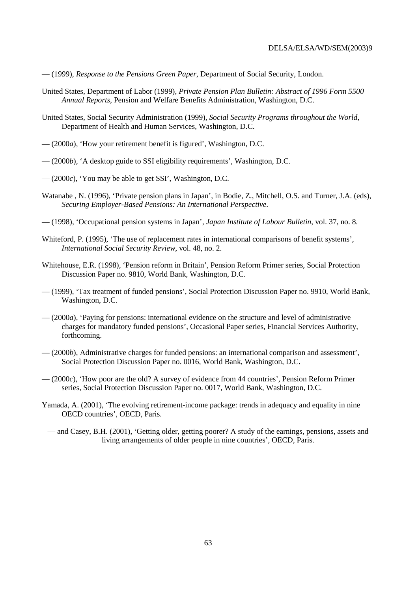- (1999), *Response to the Pensions Green Paper*, Department of Social Security, London.
- United States, Department of Labor (1999), *Private Pension Plan Bulletin: Abstract of 1996 Form 5500 Annual Reports*, Pension and Welfare Benefits Administration, Washington, D.C.
- United States, Social Security Administration (1999), *Social Security Programs throughout the World*, Department of Health and Human Services, Washington, D.C.
- (2000*a*), 'How your retirement benefit is figured', Washington, D.C.
- (2000*b*), 'A desktop guide to SSI eligibility requirements', Washington, D.C.
- (2000*c*), 'You may be able to get SSI', Washington, D.C.
- Watanabe , N. (1996), 'Private pension plans in Japan', in Bodie, Z., Mitchell, O.S. and Turner, J.A. (eds), *Securing Employer-Based Pensions: An International Perspective*.
- (1998), 'Occupational pension systems in Japan', *Japan Institute of Labour Bulletin*, vol. 37, no. 8.
- Whiteford, P. (1995), 'The use of replacement rates in international comparisons of benefit systems', *International Social Security Review*, vol. 48, no. 2.
- Whitehouse, E.R. (1998), 'Pension reform in Britain', Pension Reform Primer series, Social Protection Discussion Paper no. 9810, World Bank, Washington, D.C.
- (1999), 'Tax treatment of funded pensions', Social Protection Discussion Paper no. 9910, World Bank, Washington, D.C.
- (2000*a*), 'Paying for pensions: international evidence on the structure and level of administrative charges for mandatory funded pensions', Occasional Paper series, Financial Services Authority, forthcoming.
- (2000*b*), Administrative charges for funded pensions: an international comparison and assessment', Social Protection Discussion Paper no. 0016, World Bank, Washington, D.C.
- (2000*c*), 'How poor are the old? A survey of evidence from 44 countries', Pension Reform Primer series, Social Protection Discussion Paper no. 0017, World Bank, Washington, D.C.
- Yamada, A. (2001), 'The evolving retirement-income package: trends in adequacy and equality in nine OECD countries', OECD, Paris.
- and Casey, B.H. (2001), 'Getting older, getting poorer? A study of the earnings, pensions, assets and living arrangements of older people in nine countries', OECD, Paris.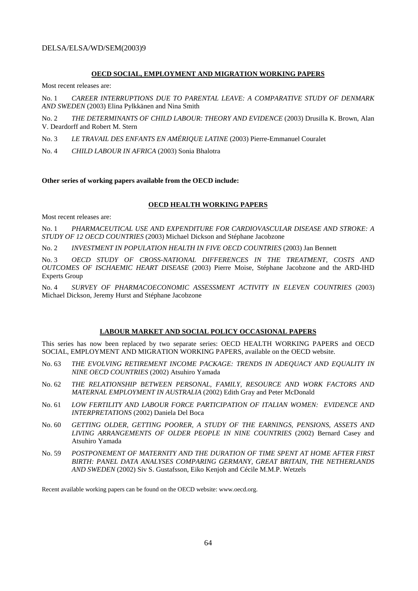#### **OECD SOCIAL, EMPLOYMENT AND MIGRATION WORKING PAPERS**

Most recent releases are:

No. 1 *CAREER INTERRUPTIONS DUE TO PARENTAL LEAVE: A COMPARATIVE STUDY OF DENMARK AND SWEDEN* (2003) Elina Pylkkänen and Nina Smith

No. 2 *THE DETERMINANTS OF CHILD LABOUR: THEORY AND EVIDENCE* (2003) Drusilla K. Brown, Alan V. Deardorff and Robert M. Stern

No. 3 *LE TRAVAIL DES ENFANTS EN AMÉRIQUE LATINE* (2003) Pierre-Emmanuel Couralet

No. 4 *CHILD LABOUR IN AFRICA* (2003) Sonia Bhalotra

**Other series of working papers available from the OECD include:** 

#### **OECD HEALTH WORKING PAPERS**

Most recent releases are:

No. 1 *PHARMACEUTICAL USE AND EXPENDITURE FOR CARDIOVASCULAR DISEASE AND STROKE: A STUDY OF 12 OECD COUNTRIES* (2003) Michael Dickson and Stéphane Jacobzone

No. 2 *INVESTMENT IN POPULATION HEALTH IN FIVE OECD COUNTRIES* (2003) Jan Bennett

No. 3 *OECD STUDY OF CROSS-NATIONAL DIFFERENCES IN THE TREATMENT, COSTS AND OUTCOMES OF ISCHAEMIC HEART DISEASE* (2003) Pierre Moise, Stéphane Jacobzone and the ARD-IHD Experts Group

No. 4 SURVEY OF PHARMACOECONOMIC ASSESSMENT ACTIVITY IN ELEVEN COUNTRIES (2003) Michael Dickson, Jeremy Hurst and Stéphane Jacobzone

#### **LABOUR MARKET AND SOCIAL POLICY OCCASIONAL PAPERS**

This series has now been replaced by two separate series: OECD HEALTH WORKING PAPERS and OECD SOCIAL, EMPLOYMENT AND MIGRATION WORKING PAPERS, available on the OECD website.

- No. 63 *THE EVOLVING RETIREMENT INCOME PACKAGE: TRENDS IN ADEQUACY AND EQUALITY IN NINE OECD COUNTRIES* (2002) Atsuhiro Yamada
- No. 62 *THE RELATIONSHIP BETWEEN PERSONAL, FAMILY, RESOURCE AND WORK FACTORS AND MATERNAL EMPLOYMENT IN AUSTRALIA* (2002) Edith Gray and Peter McDonald
- No. 61 *LOW FERTILITY AND LABOUR FORCE PARTICIPATION OF ITALIAN WOMEN: EVIDENCE AND INTERPRETATIONS* (2002) Daniela Del Boca
- No. 60 *GETTING OLDER, GETTING POORER, A STUDY OF THE EARNINGS, PENSIONS, ASSETS AND LIVING ARRANGEMENTS OF OLDER PEOPLE IN NINE COUNTRIES* (2002) Bernard Casey and Atsuhiro Yamada
- No. 59 *POSTPONEMENT OF MATERNITY AND THE DURATION OF TIME SPENT AT HOME AFTER FIRST BIRTH: PANEL DATA ANALYSES COMPARING GERMANY, GREAT BRITAIN, THE NETHERLANDS AND SWEDEN* (2002) Siv S. Gustafsson, Eiko Kenjoh and Cécile M.M.P. Wetzels

Recent available working papers can be found on the OECD website: www.oecd.org.